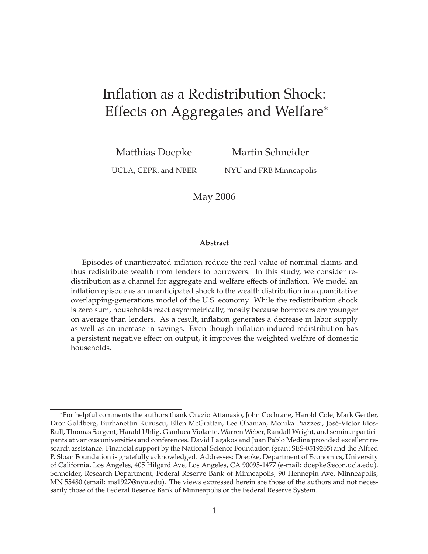# Inflation as a Redistribution Shock: Effects on Aggregates and Welfare<sup>∗</sup>

Matthias Doepke

Martin Schneider

UCLA, CEPR, and NBER

NYU and FRB Minneapolis

May 2006

#### **Abstract**

Episodes of unanticipated inflation reduce the real value of nominal claims and thus redistribute wealth from lenders to borrowers. In this study, we consider redistribution as a channel for aggregate and welfare effects of inflation. We model an inflation episode as an unanticipated shock to the wealth distribution in a quantitative overlapping-generations model of the U.S. economy. While the redistribution shock is zero sum, households react asymmetrically, mostly because borrowers are younger on average than lenders. As a result, inflation generates a decrease in labor supply as well as an increase in savings. Even though inflation-induced redistribution has a persistent negative effect on output, it improves the weighted welfare of domestic households.

<sup>∗</sup>For helpful comments the authors thank Orazio Attanasio, John Cochrane, Harold Cole, Mark Gertler, Dror Goldberg, Burhanettin Kuruscu, Ellen McGrattan, Lee Ohanian, Monika Piazzesi, José-Víctor Ríos-Rull, Thomas Sargent, Harald Uhlig, Gianluca Violante, Warren Weber, Randall Wright, and seminar participants at various universities and conferences. David Lagakos and Juan Pablo Medina provided excellent research assistance. Financial support by the National Science Foundation (grant SES-0519265) and the Alfred P. Sloan Foundation is gratefully acknowledged. Addresses: Doepke, Department of Economics, University of California, Los Angeles, 405 Hilgard Ave, Los Angeles, CA 90095-1477 (e-mail: doepke@econ.ucla.edu). Schneider, Research Department, Federal Reserve Bank of Minneapolis, 90 Hennepin Ave, Minneapolis, MN 55480 (email: ms1927@nyu.edu). The views expressed herein are those of the authors and not necessarily those of the Federal Reserve Bank of Minneapolis or the Federal Reserve System.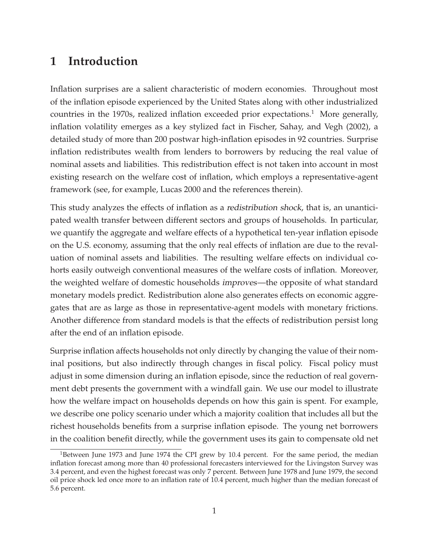## **1 Introduction**

Inflation surprises are a salient characteristic of modern economies. Throughout most of the inflation episode experienced by the United States along with other industrialized countries in the 1970s, realized inflation exceeded prior expectations.<sup>1</sup> More generally, inflation volatility emerges as a key stylized fact in Fischer, Sahay, and Vegh (2002), a detailed study of more than 200 postwar high-inflation episodes in 92 countries. Surprise inflation redistributes wealth from lenders to borrowers by reducing the real value of nominal assets and liabilities. This redistribution effect is not taken into account in most existing research on the welfare cost of inflation, which employs a representative-agent framework (see, for example, Lucas 2000 and the references therein).

This study analyzes the effects of inflation as a redistribution shock, that is, an unanticipated wealth transfer between different sectors and groups of households. In particular, we quantify the aggregate and welfare effects of a hypothetical ten-year inflation episode on the U.S. economy, assuming that the only real effects of inflation are due to the revaluation of nominal assets and liabilities. The resulting welfare effects on individual cohorts easily outweigh conventional measures of the welfare costs of inflation. Moreover, the weighted welfare of domestic households improves—the opposite of what standard monetary models predict. Redistribution alone also generates effects on economic aggregates that are as large as those in representative-agent models with monetary frictions. Another difference from standard models is that the effects of redistribution persist long after the end of an inflation episode.

Surprise inflation affects households not only directly by changing the value of their nominal positions, but also indirectly through changes in fiscal policy. Fiscal policy must adjust in some dimension during an inflation episode, since the reduction of real government debt presents the government with a windfall gain. We use our model to illustrate how the welfare impact on households depends on how this gain is spent. For example, we describe one policy scenario under which a majority coalition that includes all but the richest households benefits from a surprise inflation episode. The young net borrowers in the coalition benefit directly, while the government uses its gain to compensate old net

 $1B$ etween June 1973 and June 1974 the CPI grew by 10.4 percent. For the same period, the median inflation forecast among more than 40 professional forecasters interviewed for the Livingston Survey was 3.4 percent, and even the highest forecast was only 7 percent. Between June 1978 and June 1979, the second oil price shock led once more to an inflation rate of 10.4 percent, much higher than the median forecast of 5.6 percent.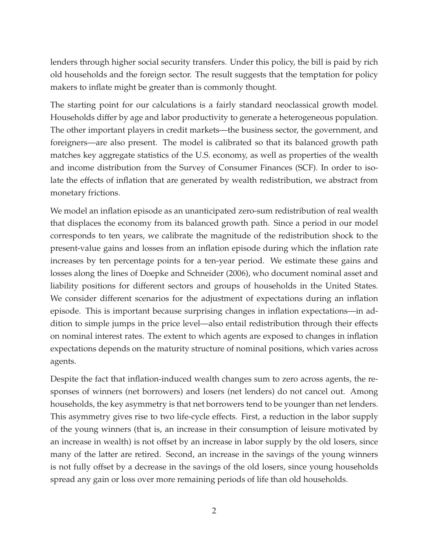lenders through higher social security transfers. Under this policy, the bill is paid by rich old households and the foreign sector. The result suggests that the temptation for policy makers to inflate might be greater than is commonly thought.

The starting point for our calculations is a fairly standard neoclassical growth model. Households differ by age and labor productivity to generate a heterogeneous population. The other important players in credit markets—the business sector, the government, and foreigners—are also present. The model is calibrated so that its balanced growth path matches key aggregate statistics of the U.S. economy, as well as properties of the wealth and income distribution from the Survey of Consumer Finances (SCF). In order to isolate the effects of inflation that are generated by wealth redistribution, we abstract from monetary frictions.

We model an inflation episode as an unanticipated zero-sum redistribution of real wealth that displaces the economy from its balanced growth path. Since a period in our model corresponds to ten years, we calibrate the magnitude of the redistribution shock to the present-value gains and losses from an inflation episode during which the inflation rate increases by ten percentage points for a ten-year period. We estimate these gains and losses along the lines of Doepke and Schneider (2006), who document nominal asset and liability positions for different sectors and groups of households in the United States. We consider different scenarios for the adjustment of expectations during an inflation episode. This is important because surprising changes in inflation expectations—in addition to simple jumps in the price level—also entail redistribution through their effects on nominal interest rates. The extent to which agents are exposed to changes in inflation expectations depends on the maturity structure of nominal positions, which varies across agents.

Despite the fact that inflation-induced wealth changes sum to zero across agents, the responses of winners (net borrowers) and losers (net lenders) do not cancel out. Among households, the key asymmetry is that net borrowers tend to be younger than net lenders. This asymmetry gives rise to two life-cycle effects. First, a reduction in the labor supply of the young winners (that is, an increase in their consumption of leisure motivated by an increase in wealth) is not offset by an increase in labor supply by the old losers, since many of the latter are retired. Second, an increase in the savings of the young winners is not fully offset by a decrease in the savings of the old losers, since young households spread any gain or loss over more remaining periods of life than old households.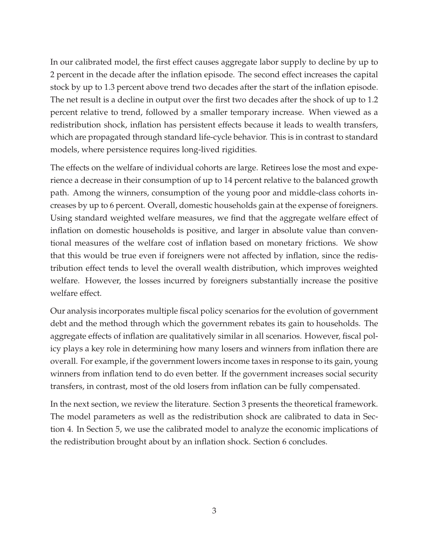In our calibrated model, the first effect causes aggregate labor supply to decline by up to 2 percent in the decade after the inflation episode. The second effect increases the capital stock by up to 1.3 percent above trend two decades after the start of the inflation episode. The net result is a decline in output over the first two decades after the shock of up to 1.2 percent relative to trend, followed by a smaller temporary increase. When viewed as a redistribution shock, inflation has persistent effects because it leads to wealth transfers, which are propagated through standard life-cycle behavior. This is in contrast to standard models, where persistence requires long-lived rigidities.

The effects on the welfare of individual cohorts are large. Retirees lose the most and experience a decrease in their consumption of up to 14 percent relative to the balanced growth path. Among the winners, consumption of the young poor and middle-class cohorts increases by up to 6 percent. Overall, domestic households gain at the expense of foreigners. Using standard weighted welfare measures, we find that the aggregate welfare effect of inflation on domestic households is positive, and larger in absolute value than conventional measures of the welfare cost of inflation based on monetary frictions. We show that this would be true even if foreigners were not affected by inflation, since the redistribution effect tends to level the overall wealth distribution, which improves weighted welfare. However, the losses incurred by foreigners substantially increase the positive welfare effect.

Our analysis incorporates multiple fiscal policy scenarios for the evolution of government debt and the method through which the government rebates its gain to households. The aggregate effects of inflation are qualitatively similar in all scenarios. However, fiscal policy plays a key role in determining how many losers and winners from inflation there are overall. For example, if the government lowers income taxes in response to its gain, young winners from inflation tend to do even better. If the government increases social security transfers, in contrast, most of the old losers from inflation can be fully compensated.

In the next section, we review the literature. Section 3 presents the theoretical framework. The model parameters as well as the redistribution shock are calibrated to data in Section 4. In Section 5, we use the calibrated model to analyze the economic implications of the redistribution brought about by an inflation shock. Section 6 concludes.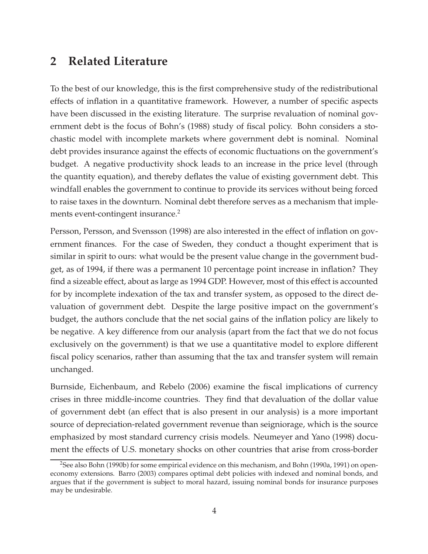## **2 Related Literature**

To the best of our knowledge, this is the first comprehensive study of the redistributional effects of inflation in a quantitative framework. However, a number of specific aspects have been discussed in the existing literature. The surprise revaluation of nominal government debt is the focus of Bohn's (1988) study of fiscal policy. Bohn considers a stochastic model with incomplete markets where government debt is nominal. Nominal debt provides insurance against the effects of economic fluctuations on the government's budget. A negative productivity shock leads to an increase in the price level (through the quantity equation), and thereby deflates the value of existing government debt. This windfall enables the government to continue to provide its services without being forced to raise taxes in the downturn. Nominal debt therefore serves as a mechanism that implements event-contingent insurance.<sup>2</sup>

Persson, Persson, and Svensson (1998) are also interested in the effect of inflation on government finances. For the case of Sweden, they conduct a thought experiment that is similar in spirit to ours: what would be the present value change in the government budget, as of 1994, if there was a permanent 10 percentage point increase in inflation? They find a sizeable effect, about as large as 1994 GDP. However, most of this effect is accounted for by incomplete indexation of the tax and transfer system, as opposed to the direct devaluation of government debt. Despite the large positive impact on the government's budget, the authors conclude that the net social gains of the inflation policy are likely to be negative. A key difference from our analysis (apart from the fact that we do not focus exclusively on the government) is that we use a quantitative model to explore different fiscal policy scenarios, rather than assuming that the tax and transfer system will remain unchanged.

Burnside, Eichenbaum, and Rebelo (2006) examine the fiscal implications of currency crises in three middle-income countries. They find that devaluation of the dollar value of government debt (an effect that is also present in our analysis) is a more important source of depreciation-related government revenue than seigniorage, which is the source emphasized by most standard currency crisis models. Neumeyer and Yano (1998) document the effects of U.S. monetary shocks on other countries that arise from cross-border

<sup>2</sup>See also Bohn (1990b) for some empirical evidence on this mechanism, and Bohn (1990a, 1991) on openeconomy extensions. Barro (2003) compares optimal debt policies with indexed and nominal bonds, and argues that if the government is subject to moral hazard, issuing nominal bonds for insurance purposes may be undesirable.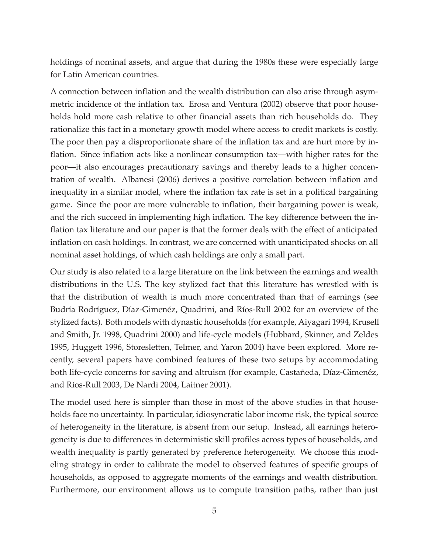holdings of nominal assets, and argue that during the 1980s these were especially large for Latin American countries.

A connection between inflation and the wealth distribution can also arise through asymmetric incidence of the inflation tax. Erosa and Ventura (2002) observe that poor households hold more cash relative to other financial assets than rich households do. They rationalize this fact in a monetary growth model where access to credit markets is costly. The poor then pay a disproportionate share of the inflation tax and are hurt more by inflation. Since inflation acts like a nonlinear consumption tax—with higher rates for the poor—it also encourages precautionary savings and thereby leads to a higher concentration of wealth. Albanesi (2006) derives a positive correlation between inflation and inequality in a similar model, where the inflation tax rate is set in a political bargaining game. Since the poor are more vulnerable to inflation, their bargaining power is weak, and the rich succeed in implementing high inflation. The key difference between the inflation tax literature and our paper is that the former deals with the effect of anticipated inflation on cash holdings. In contrast, we are concerned with unanticipated shocks on all nominal asset holdings, of which cash holdings are only a small part.

Our study is also related to a large literature on the link between the earnings and wealth distributions in the U.S. The key stylized fact that this literature has wrestled with is that the distribution of wealth is much more concentrated than that of earnings (see Budría Rodríguez, Díaz-Gimenéz, Quadrini, and Ríos-Rull 2002 for an overview of the stylized facts). Both models with dynastic households (for example, Aiyagari 1994, Krusell and Smith, Jr. 1998, Quadrini 2000) and life-cycle models (Hubbard, Skinner, and Zeldes 1995, Huggett 1996, Storesletten, Telmer, and Yaron 2004) have been explored. More recently, several papers have combined features of these two setups by accommodating both life-cycle concerns for saving and altruism (for example, Castañeda, Díaz-Gimenéz, and Ríos-Rull 2003, De Nardi 2004, Laitner 2001).

The model used here is simpler than those in most of the above studies in that households face no uncertainty. In particular, idiosyncratic labor income risk, the typical source of heterogeneity in the literature, is absent from our setup. Instead, all earnings heterogeneity is due to differences in deterministic skill profiles across types of households, and wealth inequality is partly generated by preference heterogeneity. We choose this modeling strategy in order to calibrate the model to observed features of specific groups of households, as opposed to aggregate moments of the earnings and wealth distribution. Furthermore, our environment allows us to compute transition paths, rather than just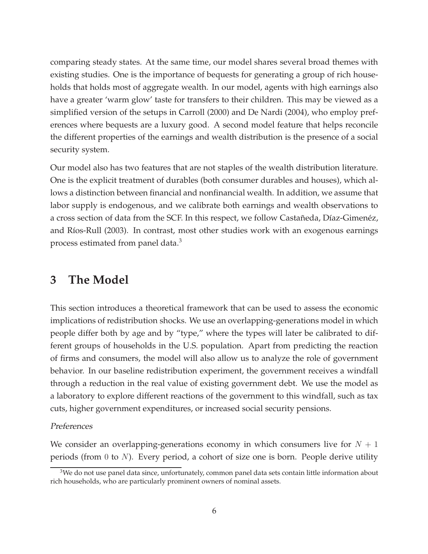comparing steady states. At the same time, our model shares several broad themes with existing studies. One is the importance of bequests for generating a group of rich households that holds most of aggregate wealth. In our model, agents with high earnings also have a greater 'warm glow' taste for transfers to their children. This may be viewed as a simplified version of the setups in Carroll (2000) and De Nardi (2004), who employ preferences where bequests are a luxury good. A second model feature that helps reconcile the different properties of the earnings and wealth distribution is the presence of a social security system.

Our model also has two features that are not staples of the wealth distribution literature. One is the explicit treatment of durables (both consumer durables and houses), which allows a distinction between financial and nonfinancial wealth. In addition, we assume that labor supply is endogenous, and we calibrate both earnings and wealth observations to a cross section of data from the SCF. In this respect, we follow Castañeda, Díaz-Gimenéz, and Ríos-Rull (2003). In contrast, most other studies work with an exogenous earnings process estimated from panel data.<sup>3</sup>

## **3 The Model**

This section introduces a theoretical framework that can be used to assess the economic implications of redistribution shocks. We use an overlapping-generations model in which people differ both by age and by "type," where the types will later be calibrated to different groups of households in the U.S. population. Apart from predicting the reaction of firms and consumers, the model will also allow us to analyze the role of government behavior. In our baseline redistribution experiment, the government receives a windfall through a reduction in the real value of existing government debt. We use the model as a laboratory to explore different reactions of the government to this windfall, such as tax cuts, higher government expenditures, or increased social security pensions.

### Preferences

We consider an overlapping-generations economy in which consumers live for  $N + 1$ periods (from 0 to  $N$ ). Every period, a cohort of size one is born. People derive utility

<sup>&</sup>lt;sup>3</sup>We do not use panel data since, unfortunately, common panel data sets contain little information about rich households, who are particularly prominent owners of nominal assets.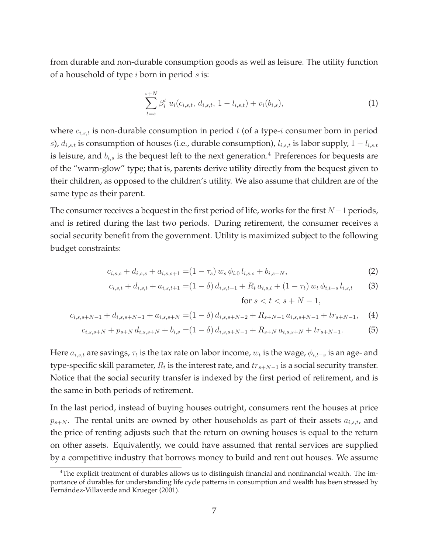from durable and non-durable consumption goods as well as leisure. The utility function of a household of type  $i$  born in period  $s$  is:

$$
\sum_{t=s}^{s+N} \beta_i^t u_i(c_{i,s,t}, d_{i,s,t}, 1-l_{i,s,t}) + v_i(b_{i,s}), \tag{1}
$$

where  $c_{i,s,t}$  is non-durable consumption in period t (of a type-i consumer born in period s),  $d_{i,s,t}$  is consumption of houses (i.e., durable consumption),  $l_{i,s,t}$  is labor supply,  $1 - l_{i,s,t}$ is leisure, and  $b_{i,s}$  is the bequest left to the next generation.<sup>4</sup> Preferences for bequests are of the "warm-glow" type; that is, parents derive utility directly from the bequest given to their children, as opposed to the children's utility. We also assume that children are of the same type as their parent.

The consumer receives a bequest in the first period of life, works for the first  $N-1$  periods, and is retired during the last two periods. During retirement, the consumer receives a social security benefit from the government. Utility is maximized subject to the following budget constraints:

$$
c_{i,s,s} + d_{i,s,s} + a_{i,s,s+1} = (1 - \tau_s) w_s \phi_{i,0} l_{i,s,s} + b_{i,s-N},
$$
\n(2)

$$
c_{i,s,t} + d_{i,s,t} + a_{i,s,t+1} = (1 - \delta) d_{i,s,t-1} + R_t a_{i,s,t} + (1 - \tau_t) w_t \phi_{i,t-s} l_{i,s,t}
$$
 (3)  
for  $s < t < s + N - 1$ ,

$$
c_{i,s,s+N-1} + d_{i,s,s+N-1} + a_{i,s,s+N} = (1 - \delta) d_{i,s,s+N-2} + R_{s+N-1} a_{i,s,s+N-1} + tr_{s+N-1}, \quad (4)
$$

$$
c_{i,s,s+N} + p_{s+N} d_{i,s,s+N} + b_{i,s} = (1 - \delta) d_{i,s,s+N-1} + R_{s+N} a_{i,s,s+N} + tr_{s+N-1}.
$$
 (5)

Here  $a_{i,s,t}$  are savings,  $\tau_t$  is the tax rate on labor income,  $w_t$  is the wage,  $\phi_{i,t-s}$  is an age- and type-specific skill parameter,  $R_t$  is the interest rate, and  $tr_{s+N-1}$  is a social security transfer. Notice that the social security transfer is indexed by the first period of retirement, and is the same in both periods of retirement.

In the last period, instead of buying houses outright, consumers rent the houses at price  $p_{s+N}$ . The rental units are owned by other households as part of their assets  $a_{i,s,t}$ , and the price of renting adjusts such that the return on owning houses is equal to the return on other assets. Equivalently, we could have assumed that rental services are supplied by a competitive industry that borrows money to build and rent out houses. We assume

<sup>&</sup>lt;sup>4</sup>The explicit treatment of durables allows us to distinguish financial and nonfinancial wealth. The importance of durables for understanding life cycle patterns in consumption and wealth has been stressed by Fernández-Villaverde and Krueger (2001).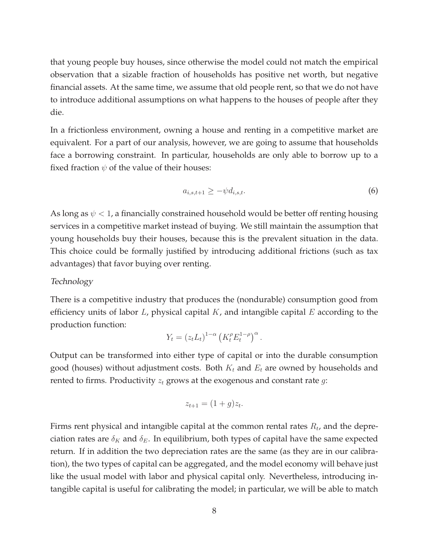that young people buy houses, since otherwise the model could not match the empirical observation that a sizable fraction of households has positive net worth, but negative financial assets. At the same time, we assume that old people rent, so that we do not have to introduce additional assumptions on what happens to the houses of people after they die.

In a frictionless environment, owning a house and renting in a competitive market are equivalent. For a part of our analysis, however, we are going to assume that households face a borrowing constraint. In particular, households are only able to borrow up to a fixed fraction  $\psi$  of the value of their houses:

$$
a_{i,s,t+1} \ge -\psi d_{i,s,t}.\tag{6}
$$

As long as  $\psi$  < 1, a financially constrained household would be better off renting housing services in a competitive market instead of buying. We still maintain the assumption that young households buy their houses, because this is the prevalent situation in the data. This choice could be formally justified by introducing additional frictions (such as tax advantages) that favor buying over renting.

### Technology

There is a competitive industry that produces the (nondurable) consumption good from efficiency units of labor  $L$ , physical capital  $K$ , and intangible capital  $E$  according to the production function:

$$
Y_t = (z_t L_t)^{1-\alpha} \left( K_t^{\rho} E_t^{1-\rho} \right)^{\alpha}.
$$

Output can be transformed into either type of capital or into the durable consumption good (houses) without adjustment costs. Both  $K_t$  and  $E_t$  are owned by households and rented to firms. Productivity  $z_t$  grows at the exogenous and constant rate  $q$ :

$$
z_{t+1} = (1+g)z_t.
$$

Firms rent physical and intangible capital at the common rental rates  $R_t$ , and the depreciation rates are  $\delta_K$  and  $\delta_E$ . In equilibrium, both types of capital have the same expected return. If in addition the two depreciation rates are the same (as they are in our calibration), the two types of capital can be aggregated, and the model economy will behave just like the usual model with labor and physical capital only. Nevertheless, introducing intangible capital is useful for calibrating the model; in particular, we will be able to match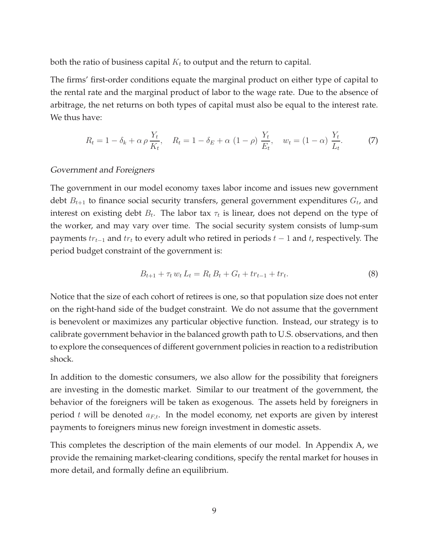both the ratio of business capital  $K_t$  to output and the return to capital.

The firms' first-order conditions equate the marginal product on either type of capital to the rental rate and the marginal product of labor to the wage rate. Due to the absence of arbitrage, the net returns on both types of capital must also be equal to the interest rate. We thus have:

$$
R_t = 1 - \delta_k + \alpha \rho \frac{Y_t}{K_t}, \quad R_t = 1 - \delta_E + \alpha (1 - \rho) \frac{Y_t}{E_t}, \quad w_t = (1 - \alpha) \frac{Y_t}{L_t}.
$$
 (7)

### Government and Foreigners

The government in our model economy taxes labor income and issues new government debt  $B_{t+1}$  to finance social security transfers, general government expenditures  $G_t$ , and interest on existing debt  $B_t$ . The labor tax  $\tau_t$  is linear, does not depend on the type of the worker, and may vary over time. The social security system consists of lump-sum payments  $tr_{t-1}$  and  $tr_t$  to every adult who retired in periods  $t-1$  and  $t$ , respectively. The period budget constraint of the government is:

$$
B_{t+1} + \tau_t w_t L_t = R_t B_t + G_t + tr_{t-1} + tr_t.
$$
\n(8)

Notice that the size of each cohort of retirees is one, so that population size does not enter on the right-hand side of the budget constraint. We do not assume that the government is benevolent or maximizes any particular objective function. Instead, our strategy is to calibrate government behavior in the balanced growth path to U.S. observations, and then to explore the consequences of different government policies in reaction to a redistribution shock.

In addition to the domestic consumers, we also allow for the possibility that foreigners are investing in the domestic market. Similar to our treatment of the government, the behavior of the foreigners will be taken as exogenous. The assets held by foreigners in period t will be denoted  $a_{F,t}$ . In the model economy, net exports are given by interest payments to foreigners minus new foreign investment in domestic assets.

This completes the description of the main elements of our model. In Appendix A, we provide the remaining market-clearing conditions, specify the rental market for houses in more detail, and formally define an equilibrium.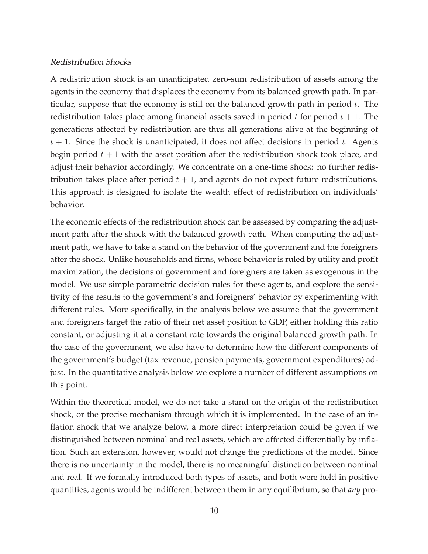### Redistribution Shocks

A redistribution shock is an unanticipated zero-sum redistribution of assets among the agents in the economy that displaces the economy from its balanced growth path. In particular, suppose that the economy is still on the balanced growth path in period  $t$ . The redistribution takes place among financial assets saved in period  $t$  for period  $t + 1$ . The generations affected by redistribution are thus all generations alive at the beginning of  $t + 1$ . Since the shock is unanticipated, it does not affect decisions in period t. Agents begin period  $t + 1$  with the asset position after the redistribution shock took place, and adjust their behavior accordingly. We concentrate on a one-time shock: no further redistribution takes place after period  $t + 1$ , and agents do not expect future redistributions. This approach is designed to isolate the wealth effect of redistribution on individuals' behavior.

The economic effects of the redistribution shock can be assessed by comparing the adjustment path after the shock with the balanced growth path. When computing the adjustment path, we have to take a stand on the behavior of the government and the foreigners after the shock. Unlike households and firms, whose behavior is ruled by utility and profit maximization, the decisions of government and foreigners are taken as exogenous in the model. We use simple parametric decision rules for these agents, and explore the sensitivity of the results to the government's and foreigners' behavior by experimenting with different rules. More specifically, in the analysis below we assume that the government and foreigners target the ratio of their net asset position to GDP, either holding this ratio constant, or adjusting it at a constant rate towards the original balanced growth path. In the case of the government, we also have to determine how the different components of the government's budget (tax revenue, pension payments, government expenditures) adjust. In the quantitative analysis below we explore a number of different assumptions on this point.

Within the theoretical model, we do not take a stand on the origin of the redistribution shock, or the precise mechanism through which it is implemented. In the case of an inflation shock that we analyze below, a more direct interpretation could be given if we distinguished between nominal and real assets, which are affected differentially by inflation. Such an extension, however, would not change the predictions of the model. Since there is no uncertainty in the model, there is no meaningful distinction between nominal and real. If we formally introduced both types of assets, and both were held in positive quantities, agents would be indifferent between them in any equilibrium, so that *any* pro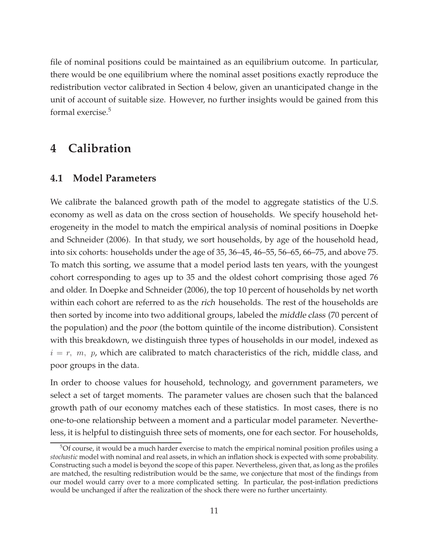file of nominal positions could be maintained as an equilibrium outcome. In particular, there would be one equilibrium where the nominal asset positions exactly reproduce the redistribution vector calibrated in Section 4 below, given an unanticipated change in the unit of account of suitable size. However, no further insights would be gained from this formal exercise.<sup>5</sup>

## **4 Calibration**

### **4.1 Model Parameters**

We calibrate the balanced growth path of the model to aggregate statistics of the U.S. economy as well as data on the cross section of households. We specify household heterogeneity in the model to match the empirical analysis of nominal positions in Doepke and Schneider (2006). In that study, we sort households, by age of the household head, into six cohorts: households under the age of 35, 36–45, 46–55, 56–65, 66–75, and above 75. To match this sorting, we assume that a model period lasts ten years, with the youngest cohort corresponding to ages up to 35 and the oldest cohort comprising those aged 76 and older. In Doepke and Schneider (2006), the top 10 percent of households by net worth within each cohort are referred to as the rich households. The rest of the households are then sorted by income into two additional groups, labeled the middle class (70 percent of the population) and the poor (the bottom quintile of the income distribution). Consistent with this breakdown, we distinguish three types of households in our model, indexed as  $i = r, m, p$ , which are calibrated to match characteristics of the rich, middle class, and poor groups in the data.

In order to choose values for household, technology, and government parameters, we select a set of target moments. The parameter values are chosen such that the balanced growth path of our economy matches each of these statistics. In most cases, there is no one-to-one relationship between a moment and a particular model parameter. Nevertheless, it is helpful to distinguish three sets of moments, one for each sector. For households,

 $5$ Of course, it would be a much harder exercise to match the empirical nominal position profiles using a *stochastic* model with nominal and real assets, in which an inflation shock is expected with some probability. Constructing such a model is beyond the scope of this paper. Nevertheless, given that, as long as the profiles are matched, the resulting redistribution would be the same, we conjecture that most of the findings from our model would carry over to a more complicated setting. In particular, the post-inflation predictions would be unchanged if after the realization of the shock there were no further uncertainty.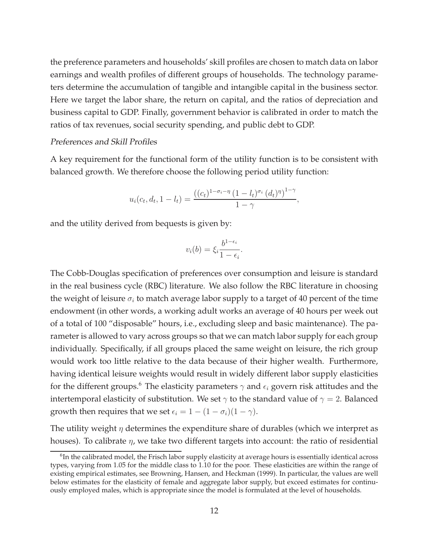the preference parameters and households' skill profiles are chosen to match data on labor earnings and wealth profiles of different groups of households. The technology parameters determine the accumulation of tangible and intangible capital in the business sector. Here we target the labor share, the return on capital, and the ratios of depreciation and business capital to GDP. Finally, government behavior is calibrated in order to match the ratios of tax revenues, social security spending, and public debt to GDP.

### Preferences and Skill Profiles

A key requirement for the functional form of the utility function is to be consistent with balanced growth. We therefore choose the following period utility function:

$$
u_i(c_t, d_t, 1 - l_t) = \frac{((c_t)^{1 - \sigma_i - \eta} (1 - l_t)^{\sigma_i} (d_t)^{\eta})^{1 - \gamma}}{1 - \gamma},
$$

and the utility derived from bequests is given by:

$$
v_i(b) = \xi_i \frac{b^{1-\epsilon_i}}{1-\epsilon_i}.
$$

The Cobb-Douglas specification of preferences over consumption and leisure is standard in the real business cycle (RBC) literature. We also follow the RBC literature in choosing the weight of leisure  $\sigma_i$  to match average labor supply to a target of 40 percent of the time endowment (in other words, a working adult works an average of 40 hours per week out of a total of 100 "disposable" hours, i.e., excluding sleep and basic maintenance). The parameter is allowed to vary across groups so that we can match labor supply for each group individually. Specifically, if all groups placed the same weight on leisure, the rich group would work too little relative to the data because of their higher wealth. Furthermore, having identical leisure weights would result in widely different labor supply elasticities for the different groups.<sup>6</sup> The elasticity parameters  $\gamma$  and  $\epsilon_i$  govern risk attitudes and the intertemporal elasticity of substitution. We set  $\gamma$  to the standard value of  $\gamma = 2$ . Balanced growth then requires that we set  $\epsilon_i = 1 - (1 - \sigma_i)(1 - \gamma)$ .

The utility weight  $\eta$  determines the expenditure share of durables (which we interpret as houses). To calibrate  $\eta$ , we take two different targets into account: the ratio of residential

<sup>&</sup>lt;sup>6</sup>In the calibrated model, the Frisch labor supply elasticity at average hours is essentially identical across types, varying from 1.05 for the middle class to 1.10 for the poor. These elasticities are within the range of existing empirical estimates, see Browning, Hansen, and Heckman (1999). In particular, the values are well below estimates for the elasticity of female and aggregate labor supply, but exceed estimates for continuously employed males, which is appropriate since the model is formulated at the level of households.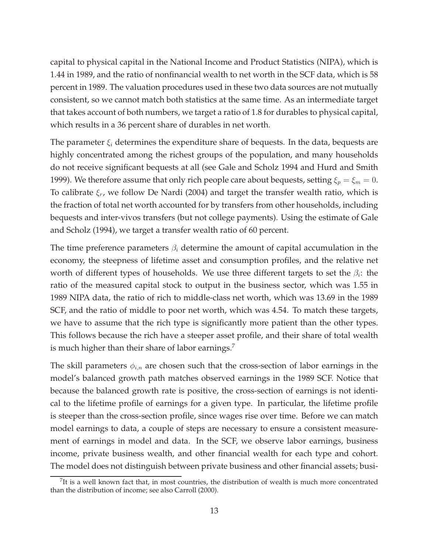capital to physical capital in the National Income and Product Statistics (NIPA), which is 1.44 in 1989, and the ratio of nonfinancial wealth to net worth in the SCF data, which is 58 percent in 1989. The valuation procedures used in these two data sources are not mutually consistent, so we cannot match both statistics at the same time. As an intermediate target that takes account of both numbers, we target a ratio of 1.8 for durables to physical capital, which results in a 36 percent share of durables in net worth.

The parameter  $\xi_i$  determines the expenditure share of bequests. In the data, bequests are highly concentrated among the richest groups of the population, and many households do not receive significant bequests at all (see Gale and Scholz 1994 and Hurd and Smith 1999). We therefore assume that only rich people care about bequests, setting  $\xi_p = \xi_m = 0$ . To calibrate  $\xi_r$ , we follow De Nardi (2004) and target the transfer wealth ratio, which is the fraction of total net worth accounted for by transfers from other households, including bequests and inter-vivos transfers (but not college payments). Using the estimate of Gale and Scholz (1994), we target a transfer wealth ratio of 60 percent.

The time preference parameters  $\beta_i$  determine the amount of capital accumulation in the economy, the steepness of lifetime asset and consumption profiles, and the relative net worth of different types of households. We use three different targets to set the  $\beta_i$ : the ratio of the measured capital stock to output in the business sector, which was 1.55 in 1989 NIPA data, the ratio of rich to middle-class net worth, which was 13.69 in the 1989 SCF, and the ratio of middle to poor net worth, which was 4.54. To match these targets, we have to assume that the rich type is significantly more patient than the other types. This follows because the rich have a steeper asset profile, and their share of total wealth is much higher than their share of labor earnings.<sup>7</sup>

The skill parameters  $\phi_{i,n}$  are chosen such that the cross-section of labor earnings in the model's balanced growth path matches observed earnings in the 1989 SCF. Notice that because the balanced growth rate is positive, the cross-section of earnings is not identical to the lifetime profile of earnings for a given type. In particular, the lifetime profile is steeper than the cross-section profile, since wages rise over time. Before we can match model earnings to data, a couple of steps are necessary to ensure a consistent measurement of earnings in model and data. In the SCF, we observe labor earnings, business income, private business wealth, and other financial wealth for each type and cohort. The model does not distinguish between private business and other financial assets; busi-

 $<sup>7</sup>$ It is a well known fact that, in most countries, the distribution of wealth is much more concentrated</sup> than the distribution of income; see also Carroll (2000).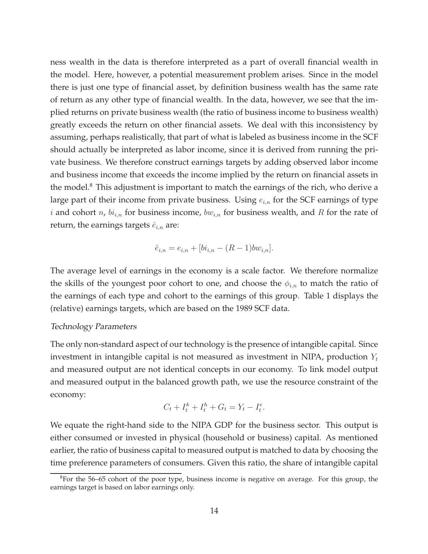ness wealth in the data is therefore interpreted as a part of overall financial wealth in the model. Here, however, a potential measurement problem arises. Since in the model there is just one type of financial asset, by definition business wealth has the same rate of return as any other type of financial wealth. In the data, however, we see that the implied returns on private business wealth (the ratio of business income to business wealth) greatly exceeds the return on other financial assets. We deal with this inconsistency by assuming, perhaps realistically, that part of what is labeled as business income in the SCF should actually be interpreted as labor income, since it is derived from running the private business. We therefore construct earnings targets by adding observed labor income and business income that exceeds the income implied by the return on financial assets in the model.<sup>8</sup> This adjustment is important to match the earnings of the rich, who derive a large part of their income from private business. Using  $e_{i,n}$  for the SCF earnings of type i and cohort n,  $bi_{i,n}$  for business income,  $bw_{i,n}$  for business wealth, and R for the rate of return, the earnings targets  $\hat{e}_{i,n}$  are:

$$
\hat{e}_{i,n} = e_{i,n} + [bi_{i,n} - (R-1)bw_{i,n}].
$$

The average level of earnings in the economy is a scale factor. We therefore normalize the skills of the youngest poor cohort to one, and choose the  $\phi_{i,n}$  to match the ratio of the earnings of each type and cohort to the earnings of this group. Table 1 displays the (relative) earnings targets, which are based on the 1989 SCF data.

### Technology Parameters

The only non-standard aspect of our technology is the presence of intangible capital. Since investment in intangible capital is not measured as investment in NIPA, production  $Y_t$ and measured output are not identical concepts in our economy. To link model output and measured output in the balanced growth path, we use the resource constraint of the economy:

$$
C_t + I_t^k + I_t^h + G_t = Y_t - I_t^e.
$$

We equate the right-hand side to the NIPA GDP for the business sector. This output is either consumed or invested in physical (household or business) capital. As mentioned earlier, the ratio of business capital to measured output is matched to data by choosing the time preference parameters of consumers. Given this ratio, the share of intangible capital

 $8$ For the 56–65 cohort of the poor type, business income is negative on average. For this group, the earnings target is based on labor earnings only.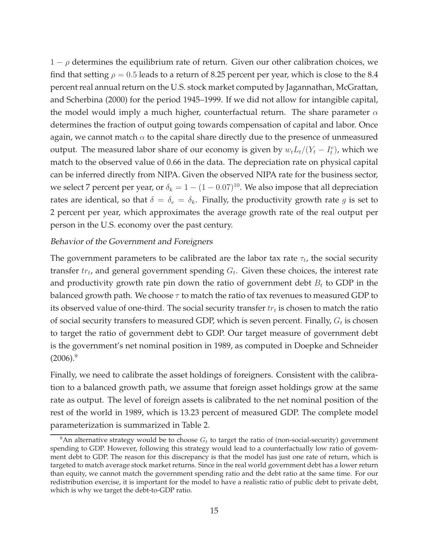$1 - \rho$  determines the equilibrium rate of return. Given our other calibration choices, we find that setting  $\rho = 0.5$  leads to a return of 8.25 percent per year, which is close to the 8.4 percent real annual return on the U.S. stock market computed by Jagannathan, McGrattan, and Scherbina (2000) for the period 1945–1999. If we did not allow for intangible capital, the model would imply a much higher, counterfactual return. The share parameter  $\alpha$ determines the fraction of output going towards compensation of capital and labor. Once again, we cannot match  $\alpha$  to the capital share directly due to the presence of unmeasured output. The measured labor share of our economy is given by  $w_t L_t / (Y_t - I_t^e)$ , which we match to the observed value of 0.66 in the data. The depreciation rate on physical capital can be inferred directly from NIPA. Given the observed NIPA rate for the business sector, we select 7 percent per year, or  $\delta_k = 1 - (1 - 0.07)^{10}$ . We also impose that all depreciation rates are identical, so that  $\delta = \delta_e = \delta_k$ . Finally, the productivity growth rate g is set to 2 percent per year, which approximates the average growth rate of the real output per person in the U.S. economy over the past century.

### Behavior of the Government and Foreigners

The government parameters to be calibrated are the labor tax rate  $\tau_t$ , the social security transfer  $tr_t$ , and general government spending  $G_t$ . Given these choices, the interest rate and productivity growth rate pin down the ratio of government debt  $B_t$  to GDP in the balanced growth path. We choose  $\tau$  to match the ratio of tax revenues to measured GDP to its observed value of one-third. The social security transfer  $tr_t$  is chosen to match the ratio of social security transfers to measured GDP, which is seven percent. Finally,  $G_t$  is chosen to target the ratio of government debt to GDP. Our target measure of government debt is the government's net nominal position in 1989, as computed in Doepke and Schneider  $(2006).<sup>9</sup>$ 

Finally, we need to calibrate the asset holdings of foreigners. Consistent with the calibration to a balanced growth path, we assume that foreign asset holdings grow at the same rate as output. The level of foreign assets is calibrated to the net nominal position of the rest of the world in 1989, which is 13.23 percent of measured GDP. The complete model parameterization is summarized in Table 2.

<sup>&</sup>lt;sup>9</sup>An alternative strategy would be to choose  $G_t$  to target the ratio of (non-social-security) government spending to GDP. However, following this strategy would lead to a counterfactually low ratio of government debt to GDP. The reason for this discrepancy is that the model has just one rate of return, which is targeted to match average stock market returns. Since in the real world government debt has a lower return than equity, we cannot match the government spending ratio and the debt ratio at the same time. For our redistribution exercise, it is important for the model to have a realistic ratio of public debt to private debt, which is why we target the debt-to-GDP ratio.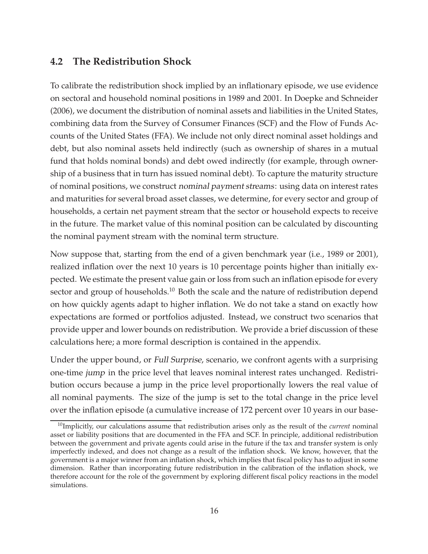### **4.2 The Redistribution Shock**

To calibrate the redistribution shock implied by an inflationary episode, we use evidence on sectoral and household nominal positions in 1989 and 2001. In Doepke and Schneider (2006), we document the distribution of nominal assets and liabilities in the United States, combining data from the Survey of Consumer Finances (SCF) and the Flow of Funds Accounts of the United States (FFA). We include not only direct nominal asset holdings and debt, but also nominal assets held indirectly (such as ownership of shares in a mutual fund that holds nominal bonds) and debt owed indirectly (for example, through ownership of a business that in turn has issued nominal debt). To capture the maturity structure of nominal positions, we construct nominal payment streams: using data on interest rates and maturities for several broad asset classes, we determine, for every sector and group of households, a certain net payment stream that the sector or household expects to receive in the future. The market value of this nominal position can be calculated by discounting the nominal payment stream with the nominal term structure.

Now suppose that, starting from the end of a given benchmark year (i.e., 1989 or 2001), realized inflation over the next 10 years is 10 percentage points higher than initially expected. We estimate the present value gain or loss from such an inflation episode for every sector and group of households.<sup>10</sup> Both the scale and the nature of redistribution depend on how quickly agents adapt to higher inflation. We do not take a stand on exactly how expectations are formed or portfolios adjusted. Instead, we construct two scenarios that provide upper and lower bounds on redistribution. We provide a brief discussion of these calculations here; a more formal description is contained in the appendix.

Under the upper bound, or Full Surprise, scenario, we confront agents with a surprising one-time jump in the price level that leaves nominal interest rates unchanged. Redistribution occurs because a jump in the price level proportionally lowers the real value of all nominal payments. The size of the jump is set to the total change in the price level over the inflation episode (a cumulative increase of 172 percent over 10 years in our base-

<sup>10</sup>Implicitly, our calculations assume that redistribution arises only as the result of the *current* nominal asset or liability positions that are documented in the FFA and SCF. In principle, additional redistribution between the government and private agents could arise in the future if the tax and transfer system is only imperfectly indexed, and does not change as a result of the inflation shock. We know, however, that the government is a major winner from an inflation shock, which implies that fiscal policy has to adjust in some dimension. Rather than incorporating future redistribution in the calibration of the inflation shock, we therefore account for the role of the government by exploring different fiscal policy reactions in the model simulations.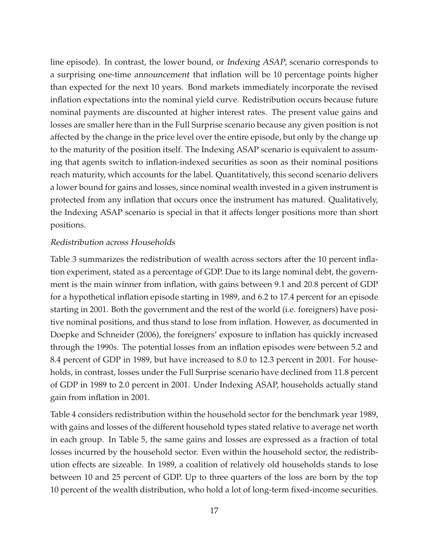line episode). In contrast, the lower bound, or Indexing ASAP, scenario corresponds to a surprising one-time announcement that inflation will be 10 percentage points higher than expected for the next 10 years. Bond markets immediately incorporate the revised inflation expectations into the nominal yield curve. Redistribution occurs because future nominal payments are discounted at higher interest rates. The present value gains and losses are smaller here than in the Full Surprise scenario because any given position is not affected by the change in the price level over the entire episode, but only by the change up to the maturity of the position itself. The Indexing ASAP scenario is equivalent to assuming that agents switch to inflation-indexed securities as soon as their nominal positions reach maturity, which accounts for the label. Quantitatively, this second scenario delivers a lower bound for gains and losses, since nominal wealth invested in a given instrument is protected from any inflation that occurs once the instrument has matured. Qualitatively, the Indexing ASAP scenario is special in that it affects longer positions more than short positions.

### Redistribution across Households

Table 3 summarizes the redistribution of wealth across sectors after the 10 percent inflation experiment, stated as a percentage of GDP. Due to its large nominal debt, the government is the main winner from inflation, with gains between 9.1 and 20.8 percent of GDP for a hypothetical inflation episode starting in 1989, and 6.2 to 17.4 percent for an episode starting in 2001. Both the government and the rest of the world (i.e. foreigners) have positive nominal positions, and thus stand to lose from inflation. However, as documented in Doepke and Schneider (2006), the foreigners' exposure to inflation has quickly increased through the 1990s. The potential losses from an inflation episodes were between 5.2 and 8.4 percent of GDP in 1989, but have increased to 8.0 to 12.3 percent in 2001. For households, in contrast, losses under the Full Surprise scenario have declined from 11.8 percent of GDP in 1989 to 2.0 percent in 2001. Under Indexing ASAP, households actually stand gain from inflation in 2001.

Table 4 considers redistribution within the household sector for the benchmark year 1989, with gains and losses of the different household types stated relative to average net worth in each group. In Table 5, the same gains and losses are expressed as a fraction of total losses incurred by the household sector. Even within the household sector, the redistribution effects are sizeable. In 1989, a coalition of relatively old households stands to lose between 10 and 25 percent of GDP. Up to three quarters of the loss are born by the top 10 percent of the wealth distribution, who hold a lot of long-term fixed-income securities.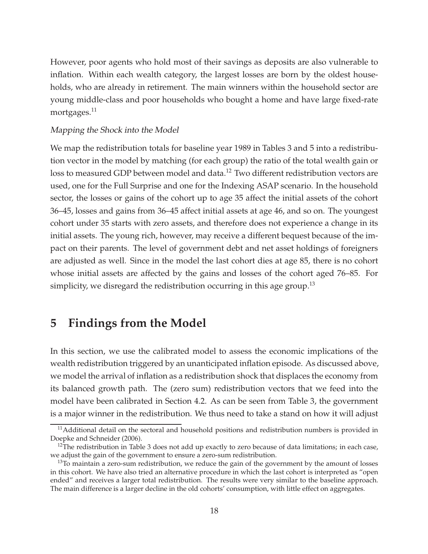However, poor agents who hold most of their savings as deposits are also vulnerable to inflation. Within each wealth category, the largest losses are born by the oldest households, who are already in retirement. The main winners within the household sector are young middle-class and poor households who bought a home and have large fixed-rate mortgages.<sup>11</sup>

### Mapping the Shock into the Model

We map the redistribution totals for baseline year 1989 in Tables 3 and 5 into a redistribution vector in the model by matching (for each group) the ratio of the total wealth gain or loss to measured GDP between model and data.<sup>12</sup> Two different redistribution vectors are used, one for the Full Surprise and one for the Indexing ASAP scenario. In the household sector, the losses or gains of the cohort up to age 35 affect the initial assets of the cohort 36–45, losses and gains from 36–45 affect initial assets at age 46, and so on. The youngest cohort under 35 starts with zero assets, and therefore does not experience a change in its initial assets. The young rich, however, may receive a different bequest because of the impact on their parents. The level of government debt and net asset holdings of foreigners are adjusted as well. Since in the model the last cohort dies at age 85, there is no cohort whose initial assets are affected by the gains and losses of the cohort aged 76–85. For simplicity, we disregard the redistribution occurring in this age group.<sup>13</sup>

## **5 Findings from the Model**

In this section, we use the calibrated model to assess the economic implications of the wealth redistribution triggered by an unanticipated inflation episode. As discussed above, we model the arrival of inflation as a redistribution shock that displaces the economy from its balanced growth path. The (zero sum) redistribution vectors that we feed into the model have been calibrated in Section 4.2. As can be seen from Table 3, the government is a major winner in the redistribution. We thus need to take a stand on how it will adjust

<sup>&</sup>lt;sup>11</sup>Additional detail on the sectoral and household positions and redistribution numbers is provided in Doepke and Schneider (2006).

 $12$ The redistribution in Table 3 does not add up exactly to zero because of data limitations; in each case, we adjust the gain of the government to ensure a zero-sum redistribution.

<sup>&</sup>lt;sup>13</sup>To maintain a zero-sum redistribution, we reduce the gain of the government by the amount of losses in this cohort. We have also tried an alternative procedure in which the last cohort is interpreted as "open ended" and receives a larger total redistribution. The results were very similar to the baseline approach. The main difference is a larger decline in the old cohorts' consumption, with little effect on aggregates.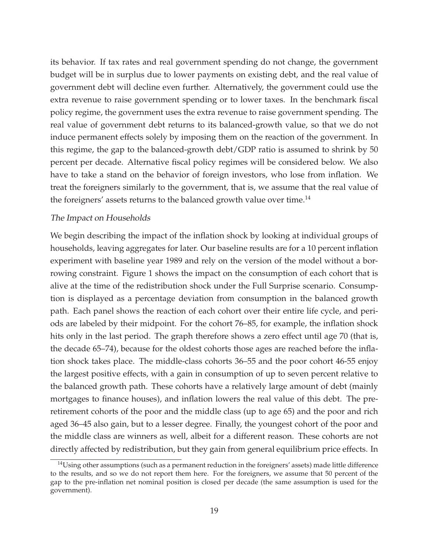its behavior. If tax rates and real government spending do not change, the government budget will be in surplus due to lower payments on existing debt, and the real value of government debt will decline even further. Alternatively, the government could use the extra revenue to raise government spending or to lower taxes. In the benchmark fiscal policy regime, the government uses the extra revenue to raise government spending. The real value of government debt returns to its balanced-growth value, so that we do not induce permanent effects solely by imposing them on the reaction of the government. In this regime, the gap to the balanced-growth debt/GDP ratio is assumed to shrink by 50 percent per decade. Alternative fiscal policy regimes will be considered below. We also have to take a stand on the behavior of foreign investors, who lose from inflation. We treat the foreigners similarly to the government, that is, we assume that the real value of the foreigners' assets returns to the balanced growth value over time.<sup>14</sup>

### The Impact on Households

We begin describing the impact of the inflation shock by looking at individual groups of households, leaving aggregates for later. Our baseline results are for a 10 percent inflation experiment with baseline year 1989 and rely on the version of the model without a borrowing constraint. Figure 1 shows the impact on the consumption of each cohort that is alive at the time of the redistribution shock under the Full Surprise scenario. Consumption is displayed as a percentage deviation from consumption in the balanced growth path. Each panel shows the reaction of each cohort over their entire life cycle, and periods are labeled by their midpoint. For the cohort 76–85, for example, the inflation shock hits only in the last period. The graph therefore shows a zero effect until age 70 (that is, the decade 65–74), because for the oldest cohorts those ages are reached before the inflation shock takes place. The middle-class cohorts 36–55 and the poor cohort 46-55 enjoy the largest positive effects, with a gain in consumption of up to seven percent relative to the balanced growth path. These cohorts have a relatively large amount of debt (mainly mortgages to finance houses), and inflation lowers the real value of this debt. The preretirement cohorts of the poor and the middle class (up to age 65) and the poor and rich aged 36–45 also gain, but to a lesser degree. Finally, the youngest cohort of the poor and the middle class are winners as well, albeit for a different reason. These cohorts are not directly affected by redistribution, but they gain from general equilibrium price effects. In

<sup>&</sup>lt;sup>14</sup>Using other assumptions (such as a permanent reduction in the foreigners' assets) made little difference to the results, and so we do not report them here. For the foreigners, we assume that 50 percent of the gap to the pre-inflation net nominal position is closed per decade (the same assumption is used for the government).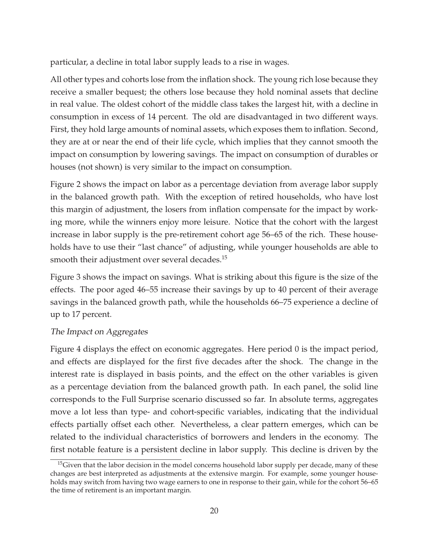particular, a decline in total labor supply leads to a rise in wages.

All other types and cohorts lose from the inflation shock. The young rich lose because they receive a smaller bequest; the others lose because they hold nominal assets that decline in real value. The oldest cohort of the middle class takes the largest hit, with a decline in consumption in excess of 14 percent. The old are disadvantaged in two different ways. First, they hold large amounts of nominal assets, which exposes them to inflation. Second, they are at or near the end of their life cycle, which implies that they cannot smooth the impact on consumption by lowering savings. The impact on consumption of durables or houses (not shown) is very similar to the impact on consumption.

Figure 2 shows the impact on labor as a percentage deviation from average labor supply in the balanced growth path. With the exception of retired households, who have lost this margin of adjustment, the losers from inflation compensate for the impact by working more, while the winners enjoy more leisure. Notice that the cohort with the largest increase in labor supply is the pre-retirement cohort age 56–65 of the rich. These households have to use their "last chance" of adjusting, while younger households are able to smooth their adjustment over several decades.<sup>15</sup>

Figure 3 shows the impact on savings. What is striking about this figure is the size of the effects. The poor aged 46–55 increase their savings by up to 40 percent of their average savings in the balanced growth path, while the households 66–75 experience a decline of up to 17 percent.

### The Impact on Aggregates

Figure 4 displays the effect on economic aggregates. Here period 0 is the impact period, and effects are displayed for the first five decades after the shock. The change in the interest rate is displayed in basis points, and the effect on the other variables is given as a percentage deviation from the balanced growth path. In each panel, the solid line corresponds to the Full Surprise scenario discussed so far. In absolute terms, aggregates move a lot less than type- and cohort-specific variables, indicating that the individual effects partially offset each other. Nevertheless, a clear pattern emerges, which can be related to the individual characteristics of borrowers and lenders in the economy. The first notable feature is a persistent decline in labor supply. This decline is driven by the

<sup>&</sup>lt;sup>15</sup>Given that the labor decision in the model concerns household labor supply per decade, many of these changes are best interpreted as adjustments at the extensive margin. For example, some younger households may switch from having two wage earners to one in response to their gain, while for the cohort 56–65 the time of retirement is an important margin.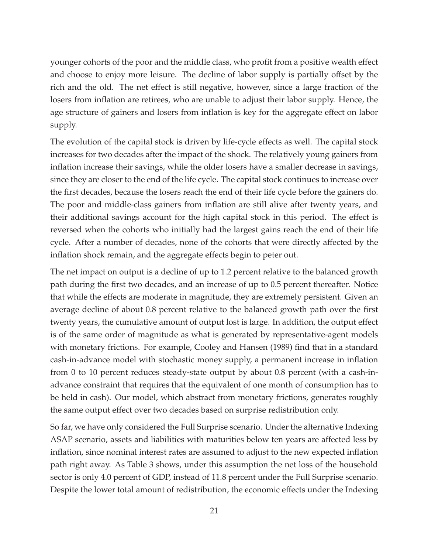younger cohorts of the poor and the middle class, who profit from a positive wealth effect and choose to enjoy more leisure. The decline of labor supply is partially offset by the rich and the old. The net effect is still negative, however, since a large fraction of the losers from inflation are retirees, who are unable to adjust their labor supply. Hence, the age structure of gainers and losers from inflation is key for the aggregate effect on labor supply.

The evolution of the capital stock is driven by life-cycle effects as well. The capital stock increases for two decades after the impact of the shock. The relatively young gainers from inflation increase their savings, while the older losers have a smaller decrease in savings, since they are closer to the end of the life cycle. The capital stock continues to increase over the first decades, because the losers reach the end of their life cycle before the gainers do. The poor and middle-class gainers from inflation are still alive after twenty years, and their additional savings account for the high capital stock in this period. The effect is reversed when the cohorts who initially had the largest gains reach the end of their life cycle. After a number of decades, none of the cohorts that were directly affected by the inflation shock remain, and the aggregate effects begin to peter out.

The net impact on output is a decline of up to 1.2 percent relative to the balanced growth path during the first two decades, and an increase of up to 0.5 percent thereafter. Notice that while the effects are moderate in magnitude, they are extremely persistent. Given an average decline of about 0.8 percent relative to the balanced growth path over the first twenty years, the cumulative amount of output lost is large. In addition, the output effect is of the same order of magnitude as what is generated by representative-agent models with monetary frictions. For example, Cooley and Hansen (1989) find that in a standard cash-in-advance model with stochastic money supply, a permanent increase in inflation from 0 to 10 percent reduces steady-state output by about 0.8 percent (with a cash-inadvance constraint that requires that the equivalent of one month of consumption has to be held in cash). Our model, which abstract from monetary frictions, generates roughly the same output effect over two decades based on surprise redistribution only.

So far, we have only considered the Full Surprise scenario. Under the alternative Indexing ASAP scenario, assets and liabilities with maturities below ten years are affected less by inflation, since nominal interest rates are assumed to adjust to the new expected inflation path right away. As Table 3 shows, under this assumption the net loss of the household sector is only 4.0 percent of GDP, instead of 11.8 percent under the Full Surprise scenario. Despite the lower total amount of redistribution, the economic effects under the Indexing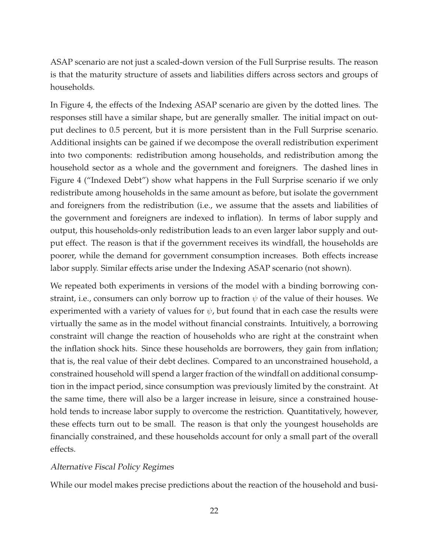ASAP scenario are not just a scaled-down version of the Full Surprise results. The reason is that the maturity structure of assets and liabilities differs across sectors and groups of households.

In Figure 4, the effects of the Indexing ASAP scenario are given by the dotted lines. The responses still have a similar shape, but are generally smaller. The initial impact on output declines to 0.5 percent, but it is more persistent than in the Full Surprise scenario. Additional insights can be gained if we decompose the overall redistribution experiment into two components: redistribution among households, and redistribution among the household sector as a whole and the government and foreigners. The dashed lines in Figure 4 ("Indexed Debt") show what happens in the Full Surprise scenario if we only redistribute among households in the same amount as before, but isolate the government and foreigners from the redistribution (i.e., we assume that the assets and liabilities of the government and foreigners are indexed to inflation). In terms of labor supply and output, this households-only redistribution leads to an even larger labor supply and output effect. The reason is that if the government receives its windfall, the households are poorer, while the demand for government consumption increases. Both effects increase labor supply. Similar effects arise under the Indexing ASAP scenario (not shown).

We repeated both experiments in versions of the model with a binding borrowing constraint, i.e., consumers can only borrow up to fraction  $\psi$  of the value of their houses. We experimented with a variety of values for  $\psi$ , but found that in each case the results were virtually the same as in the model without financial constraints. Intuitively, a borrowing constraint will change the reaction of households who are right at the constraint when the inflation shock hits. Since these households are borrowers, they gain from inflation; that is, the real value of their debt declines. Compared to an unconstrained household, a constrained household will spend a larger fraction of the windfall on additional consumption in the impact period, since consumption was previously limited by the constraint. At the same time, there will also be a larger increase in leisure, since a constrained household tends to increase labor supply to overcome the restriction. Quantitatively, however, these effects turn out to be small. The reason is that only the youngest households are financially constrained, and these households account for only a small part of the overall effects.

### Alternative Fiscal Policy Regimes

While our model makes precise predictions about the reaction of the household and busi-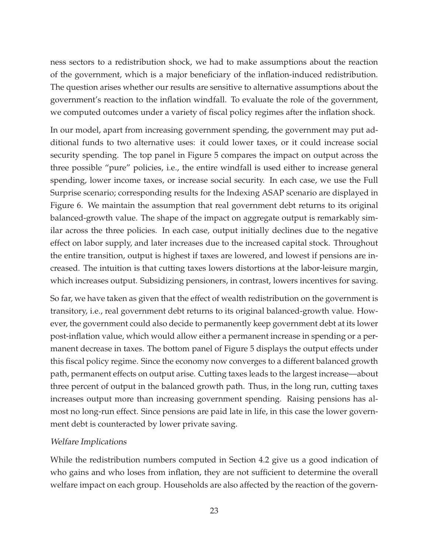ness sectors to a redistribution shock, we had to make assumptions about the reaction of the government, which is a major beneficiary of the inflation-induced redistribution. The question arises whether our results are sensitive to alternative assumptions about the government's reaction to the inflation windfall. To evaluate the role of the government, we computed outcomes under a variety of fiscal policy regimes after the inflation shock.

In our model, apart from increasing government spending, the government may put additional funds to two alternative uses: it could lower taxes, or it could increase social security spending. The top panel in Figure 5 compares the impact on output across the three possible "pure" policies, i.e., the entire windfall is used either to increase general spending, lower income taxes, or increase social security. In each case, we use the Full Surprise scenario; corresponding results for the Indexing ASAP scenario are displayed in Figure 6. We maintain the assumption that real government debt returns to its original balanced-growth value. The shape of the impact on aggregate output is remarkably similar across the three policies. In each case, output initially declines due to the negative effect on labor supply, and later increases due to the increased capital stock. Throughout the entire transition, output is highest if taxes are lowered, and lowest if pensions are increased. The intuition is that cutting taxes lowers distortions at the labor-leisure margin, which increases output. Subsidizing pensioners, in contrast, lowers incentives for saving.

So far, we have taken as given that the effect of wealth redistribution on the government is transitory, i.e., real government debt returns to its original balanced-growth value. However, the government could also decide to permanently keep government debt at its lower post-inflation value, which would allow either a permanent increase in spending or a permanent decrease in taxes. The bottom panel of Figure 5 displays the output effects under this fiscal policy regime. Since the economy now converges to a different balanced growth path, permanent effects on output arise. Cutting taxes leads to the largest increase—about three percent of output in the balanced growth path. Thus, in the long run, cutting taxes increases output more than increasing government spending. Raising pensions has almost no long-run effect. Since pensions are paid late in life, in this case the lower government debt is counteracted by lower private saving.

### Welfare Implications

While the redistribution numbers computed in Section 4.2 give us a good indication of who gains and who loses from inflation, they are not sufficient to determine the overall welfare impact on each group. Households are also affected by the reaction of the govern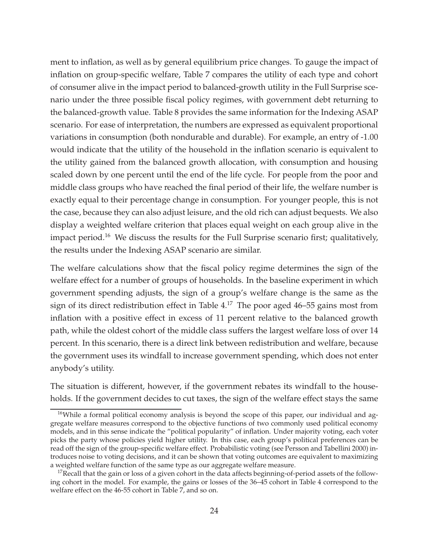ment to inflation, as well as by general equilibrium price changes. To gauge the impact of inflation on group-specific welfare, Table 7 compares the utility of each type and cohort of consumer alive in the impact period to balanced-growth utility in the Full Surprise scenario under the three possible fiscal policy regimes, with government debt returning to the balanced-growth value. Table 8 provides the same information for the Indexing ASAP scenario. For ease of interpretation, the numbers are expressed as equivalent proportional variations in consumption (both nondurable and durable). For example, an entry of -1.00 would indicate that the utility of the household in the inflation scenario is equivalent to the utility gained from the balanced growth allocation, with consumption and housing scaled down by one percent until the end of the life cycle. For people from the poor and middle class groups who have reached the final period of their life, the welfare number is exactly equal to their percentage change in consumption. For younger people, this is not the case, because they can also adjust leisure, and the old rich can adjust bequests. We also display a weighted welfare criterion that places equal weight on each group alive in the impact period.<sup>16</sup> We discuss the results for the Full Surprise scenario first; qualitatively, the results under the Indexing ASAP scenario are similar.

The welfare calculations show that the fiscal policy regime determines the sign of the welfare effect for a number of groups of households. In the baseline experiment in which government spending adjusts, the sign of a group's welfare change is the same as the sign of its direct redistribution effect in Table  $4^{17}$ . The poor aged  $46-55$  gains most from inflation with a positive effect in excess of 11 percent relative to the balanced growth path, while the oldest cohort of the middle class suffers the largest welfare loss of over 14 percent. In this scenario, there is a direct link between redistribution and welfare, because the government uses its windfall to increase government spending, which does not enter anybody's utility.

The situation is different, however, if the government rebates its windfall to the households. If the government decides to cut taxes, the sign of the welfare effect stays the same

<sup>&</sup>lt;sup>16</sup>While a formal political economy analysis is beyond the scope of this paper, our individual and aggregate welfare measures correspond to the objective functions of two commonly used political economy models, and in this sense indicate the "political popularity" of inflation. Under majority voting, each voter picks the party whose policies yield higher utility. In this case, each group's political preferences can be read off the sign of the group-specific welfare effect. Probabilistic voting (see Persson and Tabellini 2000) introduces noise to voting decisions, and it can be shown that voting outcomes are equivalent to maximizing a weighted welfare function of the same type as our aggregate welfare measure.

 $17$ Recall that the gain or loss of a given cohort in the data affects beginning-of-period assets of the following cohort in the model. For example, the gains or losses of the 36–45 cohort in Table 4 correspond to the welfare effect on the 46-55 cohort in Table 7, and so on.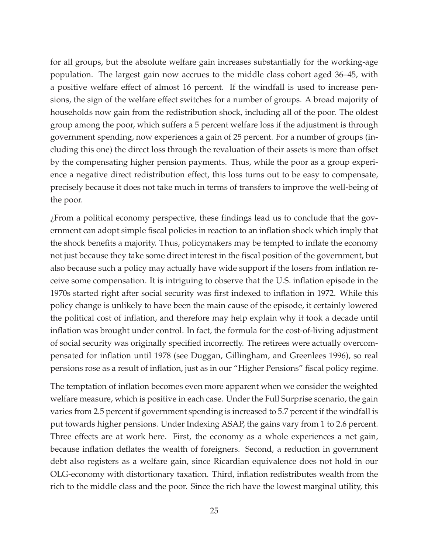for all groups, but the absolute welfare gain increases substantially for the working-age population. The largest gain now accrues to the middle class cohort aged 36–45, with a positive welfare effect of almost 16 percent. If the windfall is used to increase pensions, the sign of the welfare effect switches for a number of groups. A broad majority of households now gain from the redistribution shock, including all of the poor. The oldest group among the poor, which suffers a 5 percent welfare loss if the adjustment is through government spending, now experiences a gain of 25 percent. For a number of groups (including this one) the direct loss through the revaluation of their assets is more than offset by the compensating higher pension payments. Thus, while the poor as a group experience a negative direct redistribution effect, this loss turns out to be easy to compensate, precisely because it does not take much in terms of transfers to improve the well-being of the poor.

¿From a political economy perspective, these findings lead us to conclude that the government can adopt simple fiscal policies in reaction to an inflation shock which imply that the shock benefits a majority. Thus, policymakers may be tempted to inflate the economy not just because they take some direct interest in the fiscal position of the government, but also because such a policy may actually have wide support if the losers from inflation receive some compensation. It is intriguing to observe that the U.S. inflation episode in the 1970s started right after social security was first indexed to inflation in 1972. While this policy change is unlikely to have been the main cause of the episode, it certainly lowered the political cost of inflation, and therefore may help explain why it took a decade until inflation was brought under control. In fact, the formula for the cost-of-living adjustment of social security was originally specified incorrectly. The retirees were actually overcompensated for inflation until 1978 (see Duggan, Gillingham, and Greenlees 1996), so real pensions rose as a result of inflation, just as in our "Higher Pensions" fiscal policy regime.

The temptation of inflation becomes even more apparent when we consider the weighted welfare measure, which is positive in each case. Under the Full Surprise scenario, the gain varies from 2.5 percent if government spending is increased to 5.7 percent if the windfall is put towards higher pensions. Under Indexing ASAP, the gains vary from 1 to 2.6 percent. Three effects are at work here. First, the economy as a whole experiences a net gain, because inflation deflates the wealth of foreigners. Second, a reduction in government debt also registers as a welfare gain, since Ricardian equivalence does not hold in our OLG-economy with distortionary taxation. Third, inflation redistributes wealth from the rich to the middle class and the poor. Since the rich have the lowest marginal utility, this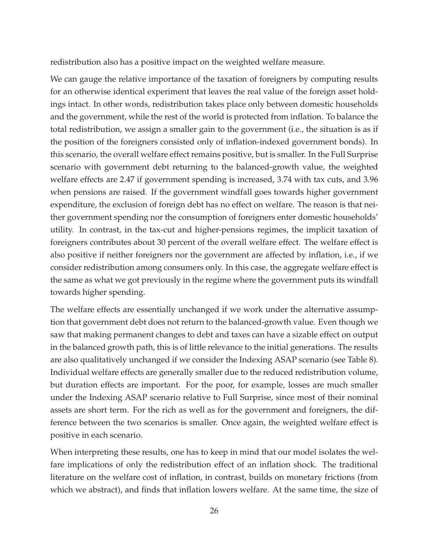redistribution also has a positive impact on the weighted welfare measure.

We can gauge the relative importance of the taxation of foreigners by computing results for an otherwise identical experiment that leaves the real value of the foreign asset holdings intact. In other words, redistribution takes place only between domestic households and the government, while the rest of the world is protected from inflation. To balance the total redistribution, we assign a smaller gain to the government (i.e., the situation is as if the position of the foreigners consisted only of inflation-indexed government bonds). In this scenario, the overall welfare effect remains positive, but is smaller. In the Full Surprise scenario with government debt returning to the balanced-growth value, the weighted welfare effects are 2.47 if government spending is increased, 3.74 with tax cuts, and 3.96 when pensions are raised. If the government windfall goes towards higher government expenditure, the exclusion of foreign debt has no effect on welfare. The reason is that neither government spending nor the consumption of foreigners enter domestic households' utility. In contrast, in the tax-cut and higher-pensions regimes, the implicit taxation of foreigners contributes about 30 percent of the overall welfare effect. The welfare effect is also positive if neither foreigners nor the government are affected by inflation, i.e., if we consider redistribution among consumers only. In this case, the aggregate welfare effect is the same as what we got previously in the regime where the government puts its windfall towards higher spending.

The welfare effects are essentially unchanged if we work under the alternative assumption that government debt does not return to the balanced-growth value. Even though we saw that making permanent changes to debt and taxes can have a sizable effect on output in the balanced growth path, this is of little relevance to the initial generations. The results are also qualitatively unchanged if we consider the Indexing ASAP scenario (see Table 8). Individual welfare effects are generally smaller due to the reduced redistribution volume, but duration effects are important. For the poor, for example, losses are much smaller under the Indexing ASAP scenario relative to Full Surprise, since most of their nominal assets are short term. For the rich as well as for the government and foreigners, the difference between the two scenarios is smaller. Once again, the weighted welfare effect is positive in each scenario.

When interpreting these results, one has to keep in mind that our model isolates the welfare implications of only the redistribution effect of an inflation shock. The traditional literature on the welfare cost of inflation, in contrast, builds on monetary frictions (from which we abstract), and finds that inflation lowers welfare. At the same time, the size of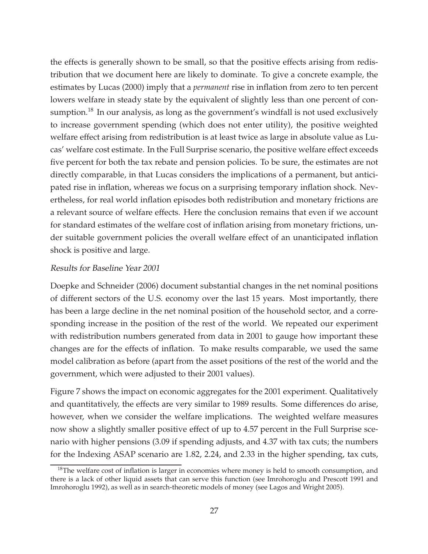the effects is generally shown to be small, so that the positive effects arising from redistribution that we document here are likely to dominate. To give a concrete example, the estimates by Lucas (2000) imply that a *permanent* rise in inflation from zero to ten percent lowers welfare in steady state by the equivalent of slightly less than one percent of consumption.<sup>18</sup> In our analysis, as long as the government's windfall is not used exclusively to increase government spending (which does not enter utility), the positive weighted welfare effect arising from redistribution is at least twice as large in absolute value as Lucas' welfare cost estimate. In the Full Surprise scenario, the positive welfare effect exceeds five percent for both the tax rebate and pension policies. To be sure, the estimates are not directly comparable, in that Lucas considers the implications of a permanent, but anticipated rise in inflation, whereas we focus on a surprising temporary inflation shock. Nevertheless, for real world inflation episodes both redistribution and monetary frictions are a relevant source of welfare effects. Here the conclusion remains that even if we account for standard estimates of the welfare cost of inflation arising from monetary frictions, under suitable government policies the overall welfare effect of an unanticipated inflation shock is positive and large.

### Results for Baseline Year 2001

Doepke and Schneider (2006) document substantial changes in the net nominal positions of different sectors of the U.S. economy over the last 15 years. Most importantly, there has been a large decline in the net nominal position of the household sector, and a corresponding increase in the position of the rest of the world. We repeated our experiment with redistribution numbers generated from data in 2001 to gauge how important these changes are for the effects of inflation. To make results comparable, we used the same model calibration as before (apart from the asset positions of the rest of the world and the government, which were adjusted to their 2001 values).

Figure 7 shows the impact on economic aggregates for the 2001 experiment. Qualitatively and quantitatively, the effects are very similar to 1989 results. Some differences do arise, however, when we consider the welfare implications. The weighted welfare measures now show a slightly smaller positive effect of up to 4.57 percent in the Full Surprise scenario with higher pensions (3.09 if spending adjusts, and 4.37 with tax cuts; the numbers for the Indexing ASAP scenario are 1.82, 2.24, and 2.33 in the higher spending, tax cuts,

 $18$ The welfare cost of inflation is larger in economies where money is held to smooth consumption, and there is a lack of other liquid assets that can serve this function (see Imrohoroglu and Prescott 1991 and Imrohoroglu 1992), as well as in search-theoretic models of money (see Lagos and Wright 2005).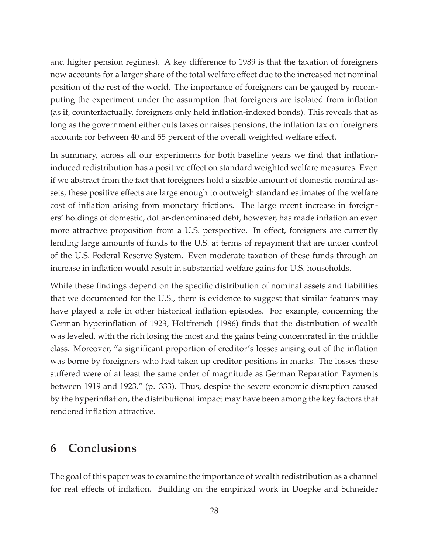and higher pension regimes). A key difference to 1989 is that the taxation of foreigners now accounts for a larger share of the total welfare effect due to the increased net nominal position of the rest of the world. The importance of foreigners can be gauged by recomputing the experiment under the assumption that foreigners are isolated from inflation (as if, counterfactually, foreigners only held inflation-indexed bonds). This reveals that as long as the government either cuts taxes or raises pensions, the inflation tax on foreigners accounts for between 40 and 55 percent of the overall weighted welfare effect.

In summary, across all our experiments for both baseline years we find that inflationinduced redistribution has a positive effect on standard weighted welfare measures. Even if we abstract from the fact that foreigners hold a sizable amount of domestic nominal assets, these positive effects are large enough to outweigh standard estimates of the welfare cost of inflation arising from monetary frictions. The large recent increase in foreigners' holdings of domestic, dollar-denominated debt, however, has made inflation an even more attractive proposition from a U.S. perspective. In effect, foreigners are currently lending large amounts of funds to the U.S. at terms of repayment that are under control of the U.S. Federal Reserve System. Even moderate taxation of these funds through an increase in inflation would result in substantial welfare gains for U.S. households.

While these findings depend on the specific distribution of nominal assets and liabilities that we documented for the U.S., there is evidence to suggest that similar features may have played a role in other historical inflation episodes. For example, concerning the German hyperinflation of 1923, Holtfrerich (1986) finds that the distribution of wealth was leveled, with the rich losing the most and the gains being concentrated in the middle class. Moreover, "a significant proportion of creditor's losses arising out of the inflation was borne by foreigners who had taken up creditor positions in marks. The losses these suffered were of at least the same order of magnitude as German Reparation Payments between 1919 and 1923." (p. 333). Thus, despite the severe economic disruption caused by the hyperinflation, the distributional impact may have been among the key factors that rendered inflation attractive.

## **6 Conclusions**

The goal of this paper was to examine the importance of wealth redistribution as a channel for real effects of inflation. Building on the empirical work in Doepke and Schneider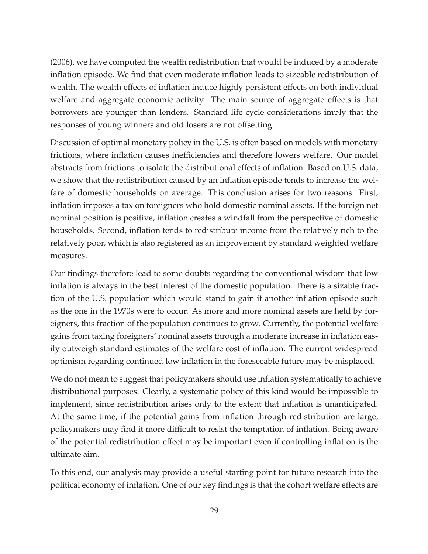(2006), we have computed the wealth redistribution that would be induced by a moderate inflation episode. We find that even moderate inflation leads to sizeable redistribution of wealth. The wealth effects of inflation induce highly persistent effects on both individual welfare and aggregate economic activity. The main source of aggregate effects is that borrowers are younger than lenders. Standard life cycle considerations imply that the responses of young winners and old losers are not offsetting.

Discussion of optimal monetary policy in the U.S. is often based on models with monetary frictions, where inflation causes inefficiencies and therefore lowers welfare. Our model abstracts from frictions to isolate the distributional effects of inflation. Based on U.S. data, we show that the redistribution caused by an inflation episode tends to increase the welfare of domestic households on average. This conclusion arises for two reasons. First, inflation imposes a tax on foreigners who hold domestic nominal assets. If the foreign net nominal position is positive, inflation creates a windfall from the perspective of domestic households. Second, inflation tends to redistribute income from the relatively rich to the relatively poor, which is also registered as an improvement by standard weighted welfare measures.

Our findings therefore lead to some doubts regarding the conventional wisdom that low inflation is always in the best interest of the domestic population. There is a sizable fraction of the U.S. population which would stand to gain if another inflation episode such as the one in the 1970s were to occur. As more and more nominal assets are held by foreigners, this fraction of the population continues to grow. Currently, the potential welfare gains from taxing foreigners' nominal assets through a moderate increase in inflation easily outweigh standard estimates of the welfare cost of inflation. The current widespread optimism regarding continued low inflation in the foreseeable future may be misplaced.

We do not mean to suggest that policymakers should use inflation systematically to achieve distributional purposes. Clearly, a systematic policy of this kind would be impossible to implement, since redistribution arises only to the extent that inflation is unanticipated. At the same time, if the potential gains from inflation through redistribution are large, policymakers may find it more difficult to resist the temptation of inflation. Being aware of the potential redistribution effect may be important even if controlling inflation is the ultimate aim.

To this end, our analysis may provide a useful starting point for future research into the political economy of inflation. One of our key findings is that the cohort welfare effects are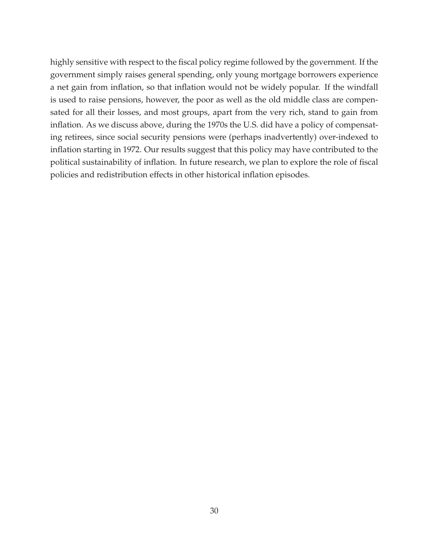highly sensitive with respect to the fiscal policy regime followed by the government. If the government simply raises general spending, only young mortgage borrowers experience a net gain from inflation, so that inflation would not be widely popular. If the windfall is used to raise pensions, however, the poor as well as the old middle class are compensated for all their losses, and most groups, apart from the very rich, stand to gain from inflation. As we discuss above, during the 1970s the U.S. did have a policy of compensating retirees, since social security pensions were (perhaps inadvertently) over-indexed to inflation starting in 1972. Our results suggest that this policy may have contributed to the political sustainability of inflation. In future research, we plan to explore the role of fiscal policies and redistribution effects in other historical inflation episodes.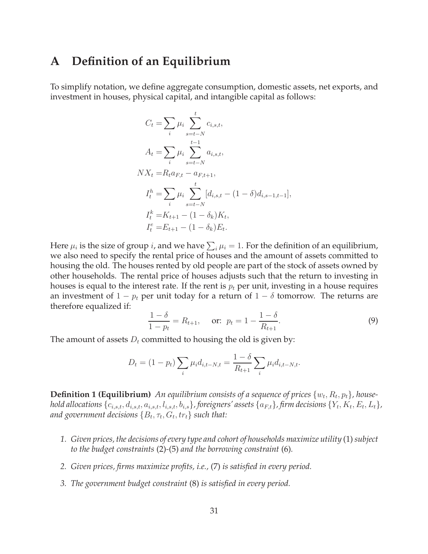### **A Definition of an Equilibrium**

To simplify notation, we define aggregate consumption, domestic assets, net exports, and investment in houses, physical capital, and intangible capital as follows:

$$
C_{t} = \sum_{i} \mu_{i} \sum_{s=t-N}^{t} c_{i,s,t},
$$
  
\n
$$
A_{t} = \sum_{i} \mu_{i} \sum_{s=t-N}^{t-1} a_{i,s,t},
$$
  
\n
$$
NX_{t} = R_{t}a_{F,t} - a_{F,t+1},
$$
  
\n
$$
I_{t}^{h} = \sum_{i} \mu_{i} \sum_{s=t-N}^{t} [d_{i,s,t} - (1 - \delta)d_{i,s-1,t-1}],
$$
  
\n
$$
I_{t}^{k} = K_{t+1} - (1 - \delta_{k})K_{t},
$$
  
\n
$$
I_{t}^{e} = E_{t+1} - (1 - \delta_{k})E_{t}.
$$

Here  $\mu_i$  is the size of group  $i$ , and we have  $\sum_i \mu_i = 1$ . For the definition of an equilibrium, we also need to specify the rental price of houses and the amount of assets committed to housing the old. The houses rented by old people are part of the stock of assets owned by other households. The rental price of houses adjusts such that the return to investing in houses is equal to the interest rate. If the rent is  $p_t$  per unit, investing in a house requires an investment of  $1 - p_t$  per unit today for a return of  $1 - \delta$  tomorrow. The returns are therefore equalized if:

$$
\frac{1-\delta}{1-p_t} = R_{t+1}, \quad \text{or: } p_t = 1 - \frac{1-\delta}{R_{t+1}}.
$$
\n(9)

The amount of assets  $D_t$  committed to housing the old is given by:

$$
D_t = (1 - p_t) \sum_i \mu_i d_{i, t - N, t} = \frac{1 - \delta}{R_{t+1}} \sum_i \mu_i d_{i, t - N, t}.
$$

**Definition 1 (Equilibrium)** An equilibrium consists of a sequence of prices  $\{w_t, R_t, p_t\}$ , house*hold allocations*  $\{c_{i,s,t}, d_{i,s,t}, a_{i,s,t}, l_{i,s,t}, b_{i,s}\}$ , foreigners' assets  $\{a_{F,t}\}$ , firm decisions  $\{Y_t, K_t, E_t, L_t\}$ , *and government decisions*  $\{B_t, \tau_t, G_t, tr_t\}$  *such that:* 

- *1. Given prices, the decisions of every type and cohort of households maximize utility* (1) *subject to the budget constraints* (2)*-*(5) *and the borrowing constraint* (6)*.*
- *2. Given prices, firms maximize profits, i.e.,* (7) *is satisfied in every period.*
- *3. The government budget constraint* (8) *is satisfied in every period.*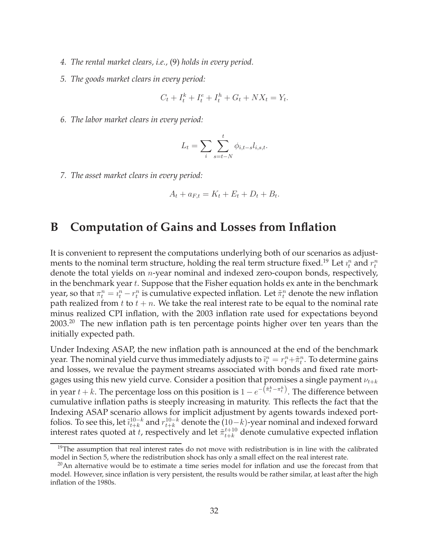- *4. The rental market clears, i.e.,* (9) *holds in every period.*
- *5. The goods market clears in every period:*

$$
C_t + I_t^k + I_t^e + I_t^h + G_t + N X_t = Y_t.
$$

*6. The labor market clears in every period:*

$$
L_t = \sum_i \sum_{s=t-N}^t \phi_{i,t-s} l_{i,s,t}.
$$

*7. The asset market clears in every period:*

$$
A_t + a_{F,t} = K_t + E_t + D_t + B_t.
$$

## **B Computation of Gains and Losses from Inflation**

It is convenient to represent the computations underlying both of our scenarios as adjustments to the nominal term structure, holding the real term structure fixed. $^{19}$  Let  $\imath_t^n$  and  $r_t^n$ denote the total yields on n-year nominal and indexed zero-coupon bonds, respectively, in the benchmark year  $t$ . Suppose that the Fisher equation holds  $ex$  ante in the benchmark year, so that  $\pi_t^n = \imath_t^n - r_t^n$  is cumulative expected inflation. Let  $\tilde{\pi}_t^n$  denote the new inflation path realized from t to  $t + n$ . We take the real interest rate to be equal to the nominal rate minus realized CPI inflation, with the 2003 inflation rate used for expectations beyond 2003.<sup>20</sup> The new inflation path is ten percentage points higher over ten years than the initially expected path.

Under Indexing ASAP, the new inflation path is announced at the end of the benchmark year. The nominal yield curve thus immediately adjusts to  $\tilde{u}_t^n = r_t^n + \tilde{\pi}_t^n$ . To determine gains and losses, we revalue the payment streams associated with bonds and fixed rate mortgages using this new yield curve. Consider a position that promises a single payment  $\nu_{t+k}$ in year  $t + k$ . The percentage loss on this position is  $1 - e^{-\left(\tilde{\pi}^k_t - \pi^k_t\right)}$ . The difference between cumulative inflation paths is steeply increasing in maturity. This reflects the fact that the Indexing ASAP scenario allows for implicit adjustment by agents towards indexed portfolios. To see this, let  $\tilde{i}_{t+k}^{10-k}$  and  $r_{t+k}^{10-k}$  denote the  $(10-k)$ -year nominal and indexed forward interest rates quoted at t, respectively and let  $\tilde{\pi}_{t+k}^{t+10}$  denote cumulative expected inflation

 $19$ The assumption that real interest rates do not move with redistribution is in line with the calibrated model in Section 5, where the redistribution shock has only a small effect on the real interest rate.

 $^{20}$ An alternative would be to estimate a time series model for inflation and use the forecast from that model. However, since inflation is very persistent, the results would be rather similar, at least after the high inflation of the 1980s.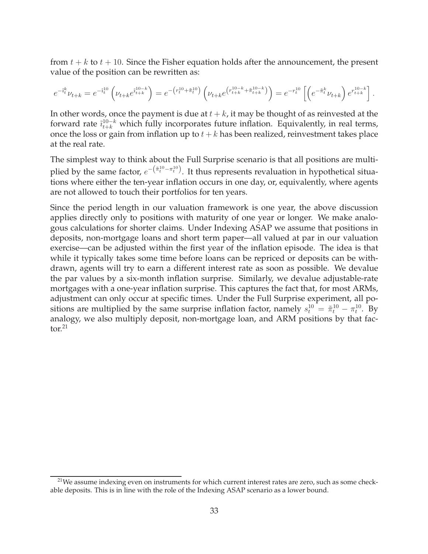from  $t + k$  to  $t + 10$ . Since the Fisher equation holds after the announcement, the present value of the position can be rewritten as:

$$
e^{-\tilde{i}_t^k}\nu_{t+k} = e^{-\tilde{i}_t^{10}}\left(\nu_{t+k}e^{\tilde{i}_{t+k}^{10-k}}\right) = e^{-\left(r_t^{10} + \tilde{\pi}_t^{10}\right)}\left(\nu_{t+k}e^{\left(r_{t+k}^{10-k} + \tilde{\pi}_{t+k}^{10-k}\right)}\right) = e^{-r_t^{10}}\left[\left(e^{-\tilde{\pi}_t^k}\nu_{t+k}\right)e^{r_{t+k}^{10-k}}\right].
$$

In other words, once the payment is due at  $t + k$ , it may be thought of as reinvested at the forward rate  $\tilde{i}_{t+k}^{10-k}$  which fully incorporates future inflation. Equivalently, in real terms, once the loss or gain from inflation up to  $t + k$  has been realized, reinvestment takes place at the real rate.

The simplest way to think about the Full Surprise scenario is that all positions are multiplied by the same factor,  $e^{-(\tilde{\pi}^{10}_t - \pi^{10}_t)}$ . It thus represents revaluation in hypothetical situations where either the ten-year inflation occurs in one day, or, equivalently, where agents are not allowed to touch their portfolios for ten years.

Since the period length in our valuation framework is one year, the above discussion applies directly only to positions with maturity of one year or longer. We make analogous calculations for shorter claims. Under Indexing ASAP we assume that positions in deposits, non-mortgage loans and short term paper—all valued at par in our valuation exercise—can be adjusted within the first year of the inflation episode. The idea is that while it typically takes some time before loans can be repriced or deposits can be withdrawn, agents will try to earn a different interest rate as soon as possible. We devalue the par values by a six-month inflation surprise. Similarly, we devalue adjustable-rate mortgages with a one-year inflation surprise. This captures the fact that, for most ARMs, adjustment can only occur at specific times. Under the Full Surprise experiment, all positions are multiplied by the same surprise inflation factor, namely  $s_t^{10} = \tilde{\pi}_t^{10} - \pi_t^{10}$ . By analogy, we also multiply deposit, non-mortgage loan, and ARM positions by that factor $21$ 

 $2<sup>21</sup>$ We assume indexing even on instruments for which current interest rates are zero, such as some checkable deposits. This is in line with the role of the Indexing ASAP scenario as a lower bound.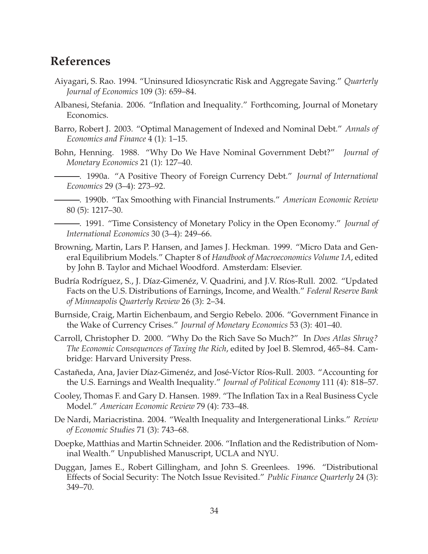## **References**

- Aiyagari, S. Rao. 1994. "Uninsured Idiosyncratic Risk and Aggregate Saving." *Quarterly Journal of Economics* 109 (3): 659–84.
- Albanesi, Stefania. 2006. "Inflation and Inequality." Forthcoming, Journal of Monetary Economics.
- Barro, Robert J. 2003. "Optimal Management of Indexed and Nominal Debt." *Annals of Economics and Finance* 4 (1): 1–15.
- Bohn, Henning. 1988. "Why Do We Have Nominal Government Debt?" *Journal of Monetary Economics* 21 (1): 127–40.
- . 1990a. "A Positive Theory of Foreign Currency Debt." *Journal of International Economics* 29 (3–4): 273–92.
- . 1990b. "Tax Smoothing with Financial Instruments." *American Economic Review* 80 (5): 1217–30.
- . 1991. "Time Consistency of Monetary Policy in the Open Economy." *Journal of International Economics* 30 (3–4): 249–66.
- Browning, Martin, Lars P. Hansen, and James J. Heckman. 1999. "Micro Data and General Equilibrium Models." Chapter 8 of *Handbook of Macroeconomics Volume 1A*, edited by John B. Taylor and Michael Woodford. Amsterdam: Elsevier.
- Budría Rodríguez, S., J. Díaz-Gimenéz, V. Quadrini, and J.V. Ríos-Rull. 2002. "Updated Facts on the U.S. Distributions of Earnings, Income, and Wealth." *Federal Reserve Bank of Minneapolis Quarterly Review* 26 (3): 2–34.
- Burnside, Craig, Martin Eichenbaum, and Sergio Rebelo. 2006. "Government Finance in the Wake of Currency Crises." *Journal of Monetary Economics* 53 (3): 401–40.
- Carroll, Christopher D. 2000. "Why Do the Rich Save So Much?" In *Does Atlas Shrug? The Economic Consequences of Taxing the Rich*, edited by Joel B. Slemrod, 465–84. Cambridge: Harvard University Press.
- Castañeda, Ana, Javier Díaz-Gimenéz, and José-Víctor Ríos-Rull. 2003. "Accounting for the U.S. Earnings and Wealth Inequality." *Journal of Political Economy* 111 (4): 818–57.
- Cooley, Thomas F. and Gary D. Hansen. 1989. "The Inflation Tax in a Real Business Cycle Model." *American Economic Review* 79 (4): 733–48.
- De Nardi, Mariacristina. 2004. "Wealth Inequality and Intergenerational Links." *Review of Economic Studies* 71 (3): 743–68.
- Doepke, Matthias and Martin Schneider. 2006. "Inflation and the Redistribution of Nominal Wealth." Unpublished Manuscript, UCLA and NYU.
- Duggan, James E., Robert Gillingham, and John S. Greenlees. 1996. "Distributional Effects of Social Security: The Notch Issue Revisited." *Public Finance Quarterly* 24 (3): 349–70.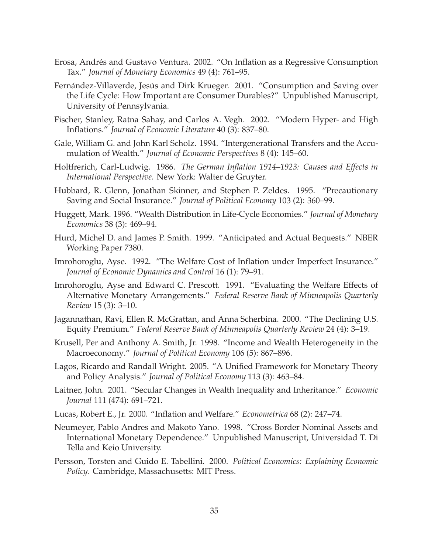- Erosa, Andrés and Gustavo Ventura. 2002. "On Inflation as a Regressive Consumption Tax." *Journal of Monetary Economics* 49 (4): 761–95.
- Fernández-Villaverde, Jesús and Dirk Krueger. 2001. "Consumption and Saving over the Life Cycle: How Important are Consumer Durables?" Unpublished Manuscript, University of Pennsylvania.
- Fischer, Stanley, Ratna Sahay, and Carlos A. Vegh. 2002. "Modern Hyper- and High Inflations." *Journal of Economic Literature* 40 (3): 837–80.
- Gale, William G. and John Karl Scholz. 1994. "Intergenerational Transfers and the Accumulation of Wealth." *Journal of Economic Perspectives* 8 (4): 145–60.
- Holtfrerich, Carl-Ludwig. 1986. *The German Inflation 1914–1923: Causes and Effects in International Perspective*. New York: Walter de Gruyter.
- Hubbard, R. Glenn, Jonathan Skinner, and Stephen P. Zeldes. 1995. "Precautionary Saving and Social Insurance." *Journal of Political Economy* 103 (2): 360–99.
- Huggett, Mark. 1996. "Wealth Distribution in Life-Cycle Economies." *Journal of Monetary Economics* 38 (3): 469–94.
- Hurd, Michel D. and James P. Smith. 1999. "Anticipated and Actual Bequests." NBER Working Paper 7380.
- Imrohoroglu, Ayse. 1992. "The Welfare Cost of Inflation under Imperfect Insurance." *Journal of Economic Dynamics and Control* 16 (1): 79–91.
- Imrohoroglu, Ayse and Edward C. Prescott. 1991. "Evaluating the Welfare Effects of Alternative Monetary Arrangements." *Federal Reserve Bank of Minneapolis Quarterly Review* 15 (3): 3–10.
- Jagannathan, Ravi, Ellen R. McGrattan, and Anna Scherbina. 2000. "The Declining U.S. Equity Premium." *Federal Reserve Bank of Minneapolis Quarterly Review* 24 (4): 3–19.
- Krusell, Per and Anthony A. Smith, Jr. 1998. "Income and Wealth Heterogeneity in the Macroeconomy." *Journal of Political Economy* 106 (5): 867–896.
- Lagos, Ricardo and Randall Wright. 2005. "A Unified Framework for Monetary Theory and Policy Analysis." *Journal of Political Economy* 113 (3): 463–84.
- Laitner, John. 2001. "Secular Changes in Wealth Inequality and Inheritance." *Economic Journal* 111 (474): 691–721.
- Lucas, Robert E., Jr. 2000. "Inflation and Welfare." *Econometrica* 68 (2): 247–74.
- Neumeyer, Pablo Andres and Makoto Yano. 1998. "Cross Border Nominal Assets and International Monetary Dependence." Unpublished Manuscript, Universidad T. Di Tella and Keio University.
- Persson, Torsten and Guido E. Tabellini. 2000. *Political Economics: Explaining Economic Policy*. Cambridge, Massachusetts: MIT Press.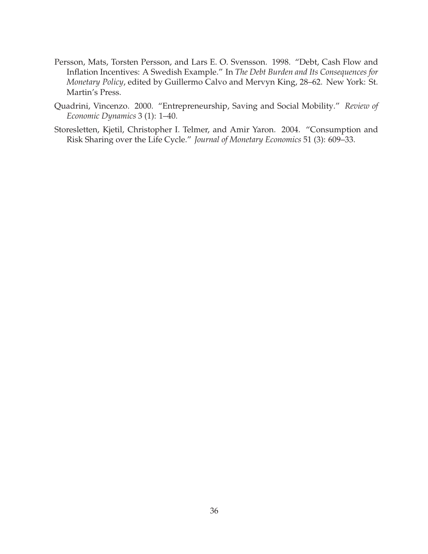- Persson, Mats, Torsten Persson, and Lars E. O. Svensson. 1998. "Debt, Cash Flow and Inflation Incentives: A Swedish Example." In *The Debt Burden and Its Consequences for Monetary Policy*, edited by Guillermo Calvo and Mervyn King, 28–62. New York: St. Martin's Press.
- Quadrini, Vincenzo. 2000. "Entrepreneurship, Saving and Social Mobility." *Review of Economic Dynamics* 3 (1): 1–40.
- Storesletten, Kjetil, Christopher I. Telmer, and Amir Yaron. 2004. "Consumption and Risk Sharing over the Life Cycle." *Journal of Monetary Economics* 51 (3): 609–33.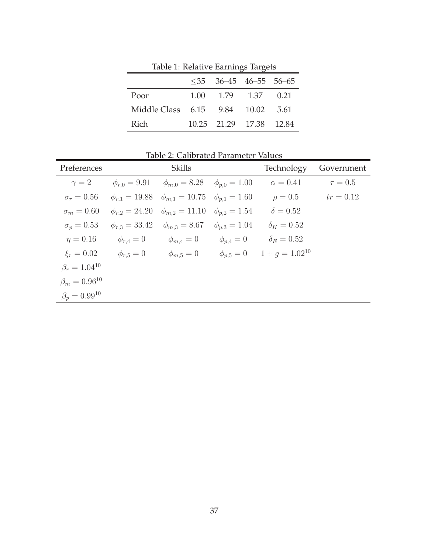|                                   |      | $\leq$ 35 36–45 46–55 56–65 |           |      |
|-----------------------------------|------|-----------------------------|-----------|------|
| Poor                              | 1.00 |                             | 1.79 1.37 | 0.21 |
| Middle Class 6.15 9.84 10.02 5.61 |      |                             |           |      |
| Rich                              |      | 10.25 21.29 17.38 12.84     |           |      |

Table 1: Relative Earnings Targets

Table 2: Calibrated Parameter Values Preferences Skills Skills Technology Government  $\gamma = 2$   $\phi_{r,0} = 9.91$   $\phi_{m,0} = 8.28$   $\phi_{p,0} = 1.00$   $\alpha = 0.41$   $\tau = 0.5$  $\sigma_r = 0.56$   $\phi_{r,1} = 19.88$   $\phi_{m,1} = 10.75$   $\phi_{p,1} = 1.60$   $\rho = 0.5$   $tr = 0.12$  $\sigma_m = 0.60 \quad \phi_{r,2} = 24.20 \quad \phi_{m,2} = 11.10 \quad \phi_{p,2} = 1.54 \quad \delta = 0.52$  $\sigma_p = 0.53$   $\phi_{r,3} = 33.42$   $\phi_{m,3} = 8.67$   $\phi_{p,3} = 1.04$   $\delta_K = 0.52$  $\eta = 0.16$   $\phi_{r,4} = 0$   $\phi_{m,4} = 0$   $\phi_{p,4} = 0$   $\delta_E = 0.52$  $\xi_r = 0.02$   $\phi_{r,5} = 0$   $\phi_{m,5} = 0$   $\phi_{p,5} = 0$   $1 + g = 1.02^{10}$  $\beta_r = 1.04^{10}$  $\beta_m = 0.96^{10}$  $\beta_p = 0.99^{10}$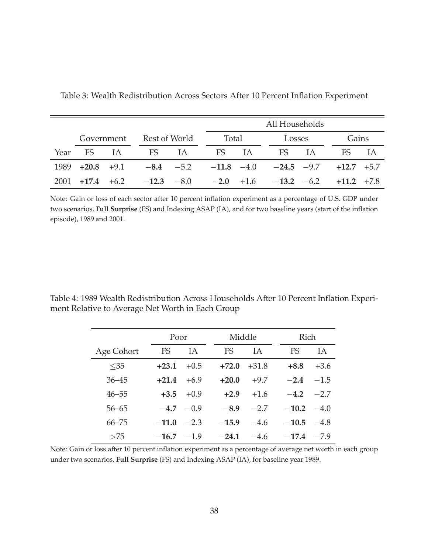|      |                     |     |       |                          |       | All Households |                                                            |        |                |       |  |  |  |  |
|------|---------------------|-----|-------|--------------------------|-------|----------------|------------------------------------------------------------|--------|----------------|-------|--|--|--|--|
|      |                     |     |       | Government Rest of World |       | Total          |                                                            | Losses |                | Gains |  |  |  |  |
| Year | <b>FS</b>           | TA. | FS IA |                          | FS IA |                | FS                                                         | IA.    | FS             |       |  |  |  |  |
|      | $1989 + 20.8 + 9.1$ |     |       |                          |       |                | $-8.4$ $-5.2$ $-11.8$ $-4.0$ $-24.5$ $-9.7$ $+12.7$ $+5.7$ |        |                |       |  |  |  |  |
|      |                     |     |       |                          |       |                | $2001$ +17.4 +6.2 -12.3 -8.0 -2.0 +1.6 -13.2 -6.2          |        | $+11.2$ $+7.8$ |       |  |  |  |  |

Table 3: Wealth Redistribution Across Sectors After 10 Percent Inflation Experiment

Note: Gain or loss of each sector after 10 percent inflation experiment as a percentage of U.S. GDP under two scenarios, **Full Surprise** (FS) and Indexing ASAP (IA), and for two baseline years (start of the inflation episode), 1989 and 2001.

Table 4: 1989 Wealth Redistribution Across Households After 10 Percent Inflation Experiment Relative to Average Net Worth in Each Group

|            | Poor        |           |  | Middle    |           | <b>Rich</b>   |        |  |
|------------|-------------|-----------|--|-----------|-----------|---------------|--------|--|
| Age Cohort | FS          | <b>IA</b> |  | <b>FS</b> | <b>IA</b> | FS            | ΙA     |  |
| $<$ 35     | $+23.1$     | $+0.5$    |  | $+72.0$   | $+31.8$   | $+8.8$        | $+3.6$ |  |
| $36 - 45$  | $+21.4$     | $+6.9$    |  | $+20.0$   | $+9.7$    | $-2.4$        | $-1.5$ |  |
| $46 - 55$  | $+3.5$      | $+0.9$    |  | $+2.9$    | $+1.6$    | $-4.2$        | $-2.7$ |  |
| $56 - 65$  | $-4.7 -0.9$ |           |  | $-8.9$    | $-2.7$    | $-10.2 - 4.0$ |        |  |
| $66 - 75$  | $-11.0$     | $-2.3$    |  | $-15.9$   | $-4.6$    | $-10.5$       | $-4.8$ |  |
| >75        | $-16.7$     | $-1.9$    |  | $-24.1$   | $-4.6$    | $-17.4$       | $-7.9$ |  |

Note: Gain or loss after 10 percent inflation experiment as a percentage of average net worth in each group under two scenarios, **Full Surprise** (FS) and Indexing ASAP (IA), for baseline year 1989.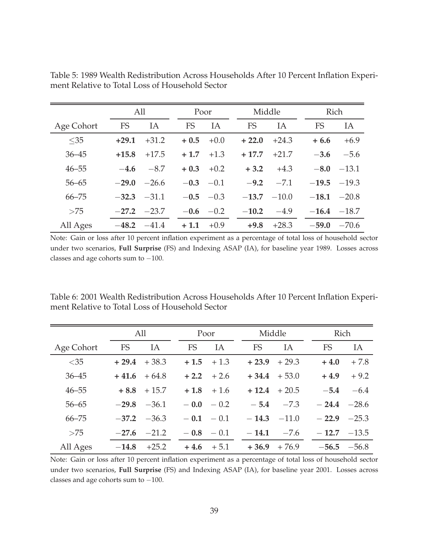|            | All           |                 |           | Poor          | Middle  |         |           | Rich          |
|------------|---------------|-----------------|-----------|---------------|---------|---------|-----------|---------------|
| Age Cohort | <b>FS</b>     | IA              | <b>FS</b> | IA            | FS      | IA      | <b>FS</b> | IA            |
| $<$ 35     | $+29.1$       | $+31.2$         | $+0.5$    | $+0.0$        | $+22.0$ | $+24.3$ | $+6.6$    | $+6.9$        |
| $36 - 45$  | $+15.8$       | $+17.5$         | $+1.7$    | $+1.3$        | $+17.7$ | $+21.7$ | $-3.6$    | $-5.6$        |
| $46 - 55$  | $-4.6$        | $-8.7$          | $+0.3$    | $+0.2$        | $+3.2$  | $+4.3$  | $-8.0$    | $-13.1$       |
| $56 - 65$  | $-29.0$       | $-26.6$         |           | $-0.3 -0.1$   | $-9.2$  | $-7.1$  |           | $-19.5 -19.3$ |
| $66 - 75$  | $-32.3 -31.1$ |                 |           | $-0.5 -0.3$   | $-13.7$ | $-10.0$ |           | $-18.1 -20.8$ |
| >75        |               | $-27.2$ $-23.7$ |           | $-0.6$ $-0.2$ | $-10.2$ | $-4.9$  |           | $-16.4 -18.7$ |
| All Ages   | $-48.2$       | $-41.4$         | $+1.1$    | $+0.9$        | $+9.8$  | $+28.3$ | $-59.0$   | $-70.6$       |

Table 5: 1989 Wealth Redistribution Across Households After 10 Percent Inflation Experiment Relative to Total Loss of Household Sector

Note: Gain or loss after 10 percent inflation experiment as a percentage of total loss of household sector under two scenarios, **Full Surprise** (FS) and Indexing ASAP (IA), for baseline year 1989. Losses across classes and age cohorts sum to −100.

Table 6: 2001 Wealth Redistribution Across Households After 10 Percent Inflation Experiment Relative to Total Loss of Household Sector

|            |           | All             |        | Poor          |  |           | Middle  | Rich            |         |  |
|------------|-----------|-----------------|--------|---------------|--|-----------|---------|-----------------|---------|--|
| Age Cohort | <b>FS</b> | IA              | FS     | IA            |  | <b>FS</b> | IA      | <b>FS</b>       | IA      |  |
| $<$ 35     | $+29.4$   | $+38.3$         |        | $+1.5$ $+1.3$ |  | $+23.9$   | $+29.3$ | $+4.0$          | $+7.8$  |  |
| $36 - 45$  |           | $+41.6 +64.8$   |        | $+2.2 + 2.6$  |  | $+34.4$   | $+53.0$ | $+4.9$          | $+9.2$  |  |
| $46 - 55$  |           | $+8.8 + 15.7$   |        | $+1.8 + 1.6$  |  | $+12.4$   | $+20.5$ | $-5.4$          | $-6.4$  |  |
| $56 - 65$  | $-29.8$   | $-36.1$         |        | $-0.0 - 0.2$  |  | $-5.4$    | $-7.3$  | $-24.4$         | $-28.6$ |  |
| $66 - 75$  |           | $-37.2$ $-36.3$ |        | $-0.1 - 0.1$  |  | $-14.3$   | $-11.0$ | $-22.9$         | $-25.3$ |  |
| >75        | $-27.6$   | $-21.2$         |        | $-0.8 - 0.1$  |  | $-14.1$   | $-7.6$  | $-12.7$ $-13.5$ |         |  |
| All Ages   | $-14.8$   | $+25.2$         | $+4.6$ | $+5.1$        |  | $+36.9$   | $+76.9$ | $-56.5$         | $-56.8$ |  |

Note: Gain or loss after 10 percent inflation experiment as a percentage of total loss of household sector under two scenarios, **Full Surprise** (FS) and Indexing ASAP (IA), for baseline year 2001. Losses across classes and age cohorts sum to −100.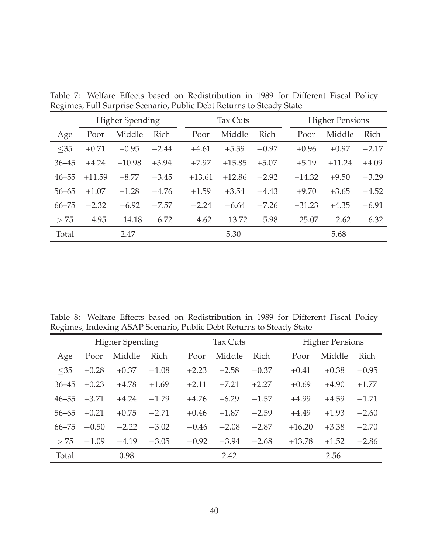|           | <b>Higher Spending</b> |          |         |  | <b>Tax Cuts</b> |          |         |  | <b>Higher Pensions</b> |          |         |  |
|-----------|------------------------|----------|---------|--|-----------------|----------|---------|--|------------------------|----------|---------|--|
| Age       | Poor                   | Middle   | Rich    |  | Poor            | Middle   | Rich    |  | Poor                   | Middle   | Rich    |  |
| $<$ 35    | $+0.71$                | $+0.95$  | $-2.44$ |  | $+4.61$         | $+5.39$  | $-0.97$ |  | $+0.96$                | $+0.97$  | $-2.17$ |  |
| $36 - 45$ | $+4.24$                | $+10.98$ | $+3.94$ |  | $+7.97$         | $+15.85$ | $+5.07$ |  | $+5.19$                | $+11.24$ | $+4.09$ |  |
| $46 - 55$ | $+11.59$               | $+8.77$  | $-3.45$ |  | $+13.61$        | $+12.86$ | $-2.92$ |  | $+14.32$               | $+9.50$  | $-3.29$ |  |
| $56 - 65$ | $+1.07$                | $+1.28$  | $-4.76$ |  | $+1.59$         | $+3.54$  | $-4.43$ |  | $+9.70$                | $+3.65$  | $-4.52$ |  |
| $66 - 75$ | $-2.32$                | $-6.92$  | $-7.57$ |  | $-2.24$         | $-6.64$  | $-7.26$ |  | $+31.23$               | $+4.35$  | $-6.91$ |  |
| >75       | $-4.95$                | $-14.18$ | $-6.72$ |  | $-4.62$         | $-13.72$ | $-5.98$ |  | $+25.07$               | $-2.62$  | $-6.32$ |  |
| Total     |                        | 2.47     |         |  |                 | 5.30     |         |  |                        | 5.68     |         |  |

Table 7: Welfare Effects based on Redistribution in 1989 for Different Fiscal Policy Regimes, Full Surprise Scenario, Public Debt Returns to Steady State

Table 8: Welfare Effects based on Redistribution in 1989 for Different Fiscal Policy Regimes, Indexing ASAP Scenario, Public Debt Returns to Steady State

|           | <b>Higher Spending</b> |         |         |  |         | Tax Cuts |             | <b>Higher Pensions</b> |         |         |  |
|-----------|------------------------|---------|---------|--|---------|----------|-------------|------------------------|---------|---------|--|
| Age       | Poor                   | Middle  | Rich    |  | Poor    | Middle   | <b>Rich</b> | Poor                   | Middle  | Rich    |  |
| $<$ 35    | $+0.28$                | $+0.37$ | $-1.08$ |  | $+2.23$ | $+2.58$  | $-0.37$     | $+0.41$                | $+0.38$ | $-0.95$ |  |
| $36 - 45$ | $+0.23$                | $+4.78$ | $+1.69$ |  | $+2.11$ | $+7.21$  | $+2.27$     | $+0.69$                | $+4.90$ | $+1.77$ |  |
| $46 - 55$ | $+3.71$                | $+4.24$ | $-1.79$ |  | $+4.76$ | $+6.29$  | $-1.57$     | $+4.99$                | $+4.59$ | $-1.71$ |  |
| $56 - 65$ | $+0.21$                | $+0.75$ | $-2.71$ |  | $+0.46$ | $+1.87$  | $-2.59$     | $+4.49$                | $+1.93$ | $-2.60$ |  |
| $66 - 75$ | $-0.50$                | $-2.22$ | $-3.02$ |  | $-0.46$ | $-2.08$  | $-2.87$     | $+16.20$               | $+3.38$ | $-2.70$ |  |
| > 75      | $-1.09$                | $-4.19$ | $-3.05$ |  | $-0.92$ | $-3.94$  | $-2.68$     | $+13.78$               | $+1.52$ | $-2.86$ |  |
| Total     |                        | 0.98    |         |  |         | 2.42     |             |                        | 2.56    |         |  |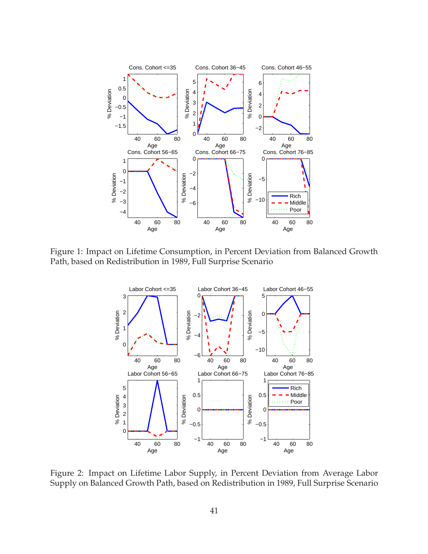

Figure 1: Impact on Lifetime Consumption, in Percent Deviation from Balanced Growth Path, based on Redistribution in 1989, Full Surprise Scenario



Figure 2: Impact on Lifetime Labor Supply, in Percent Deviation from Average Labor Supply on Balanced Growth Path, based on Redistribution in 1989, Full Surprise Scenario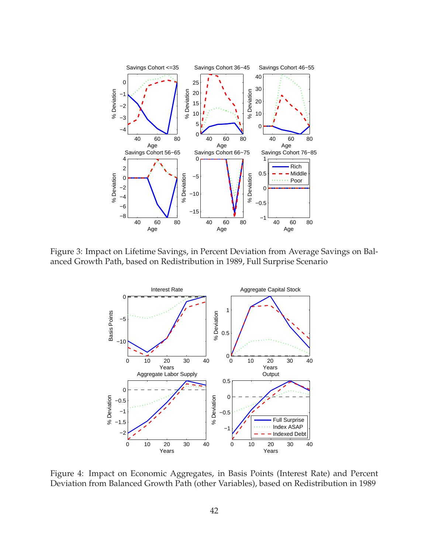

Figure 3: Impact on Lifetime Savings, in Percent Deviation from Average Savings on Balanced Growth Path, based on Redistribution in 1989, Full Surprise Scenario



Figure 4: Impact on Economic Aggregates, in Basis Points (Interest Rate) and Percent Deviation from Balanced Growth Path (other Variables), based on Redistribution in 1989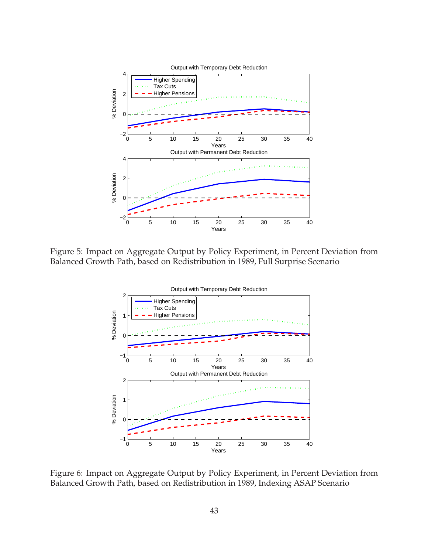

Figure 5: Impact on Aggregate Output by Policy Experiment, in Percent Deviation from Balanced Growth Path, based on Redistribution in 1989, Full Surprise Scenario



Figure 6: Impact on Aggregate Output by Policy Experiment, in Percent Deviation from Balanced Growth Path, based on Redistribution in 1989, Indexing ASAP Scenario